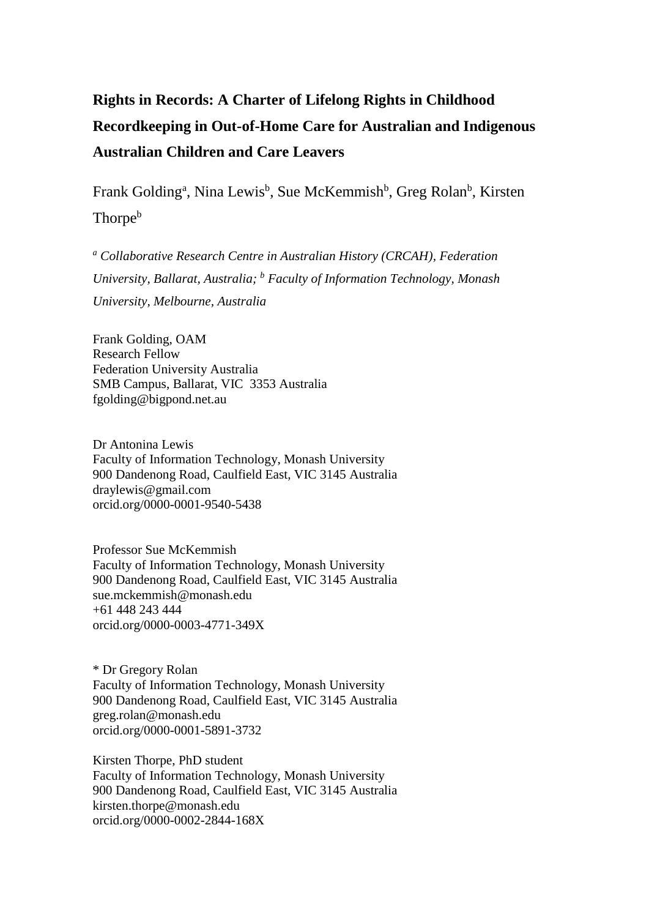# **Rights in Records: A Charter of Lifelong Rights in Childhood Recordkeeping in Out-of-Home Care for Australian and Indigenous Australian Children and Care Leavers**

Frank Golding<sup>a</sup>, Nina Lewis<sup>b</sup>, Sue McKemmish<sup>b</sup>, Greg Rolan<sup>b</sup>, Kirsten Thorpe<sup>b</sup>

*<sup>a</sup> Collaborative Research Centre in Australian History (CRCAH), Federation University, Ballarat, Australia; <sup>b</sup> Faculty of Information Technology, Monash University, Melbourne, Australia*

Frank Golding, OAM Research Fellow Federation University Australia SMB Campus, Ballarat, VIC 3353 Australia [fgolding@bigpond.net.au](mailto:fgolding@bigpond.net.au)

Dr Antonina Lewis Faculty of Information Technology, Monash University 900 Dandenong Road, Caulfield East, VIC 3145 Australia draylewis@gmail.com orcid.org/0000-0001-9540-5438

Professor Sue McKemmish Faculty of Information Technology, Monash University 900 Dandenong Road, Caulfield East, VIC 3145 Australia sue.mckemmish@monash.edu +61 448 243 444 orcid.org/0000-0003-4771-349X

\* Dr Gregory Rolan Faculty of Information Technology, Monash University 900 Dandenong Road, Caulfield East, VIC 3145 Australia greg.rolan@monash.edu orcid.org/0000-0001-5891-3732

Kirsten Thorpe, PhD student Faculty of Information Technology, Monash University 900 Dandenong Road, Caulfield East, VIC 3145 Australia [kirsten.thorpe@monash.edu](mailto:kirsten.thorpe@monash.edu) orcid.org/0000-0002-2844-168X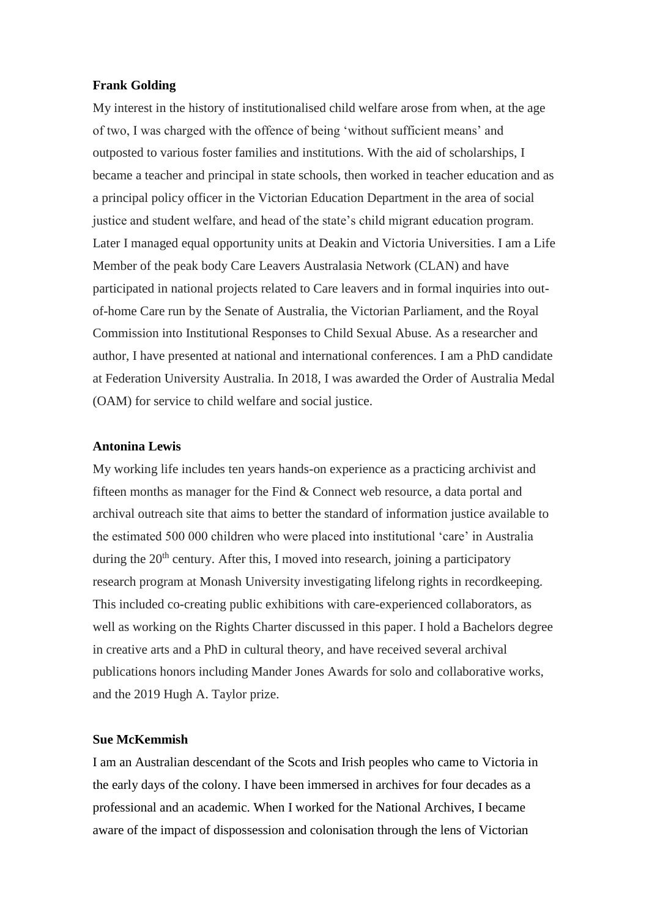# **Frank Golding**

My interest in the history of institutionalised child welfare arose from when, at the age of two, I was charged with the offence of being 'without sufficient means' and outposted to various foster families and institutions. With the aid of scholarships, I became a teacher and principal in state schools, then worked in teacher education and as a principal policy officer in the Victorian Education Department in the area of social justice and student welfare, and head of the state's child migrant education program. Later I managed equal opportunity units at Deakin and Victoria Universities. I am a Life Member of the peak body Care Leavers Australasia Network (CLAN) and have participated in national projects related to Care leavers and in formal inquiries into outof-home Care run by the Senate of Australia, the Victorian Parliament, and the Royal Commission into Institutional Responses to Child Sexual Abuse. As a researcher and author, I have presented at national and international conferences. I am a PhD candidate at Federation University Australia. In 2018, I was awarded the Order of Australia Medal (OAM) for service to child welfare and social justice.

# **Antonina Lewis**

My working life includes ten years hands-on experience as a practicing archivist and fifteen months as manager for the Find & Connect web resource, a data portal and archival outreach site that aims to better the standard of information justice available to the estimated 500 000 children who were placed into institutional 'care' in Australia during the 20<sup>th</sup> century. After this, I moved into research, joining a participatory research program at Monash University investigating lifelong rights in recordkeeping. This included co-creating public exhibitions with care-experienced collaborators, as well as working on the Rights Charter discussed in this paper. I hold a Bachelors degree in creative arts and a PhD in cultural theory, and have received several archival publications honors including Mander Jones Awards for solo and collaborative works, and the 2019 Hugh A. Taylor prize.

# **Sue McKemmish**

I am an Australian descendant of the Scots and Irish peoples who came to Victoria in the early days of the colony. I have been immersed in archives for four decades as a professional and an academic. When I worked for the National Archives, I became aware of the impact of dispossession and colonisation through the lens of Victorian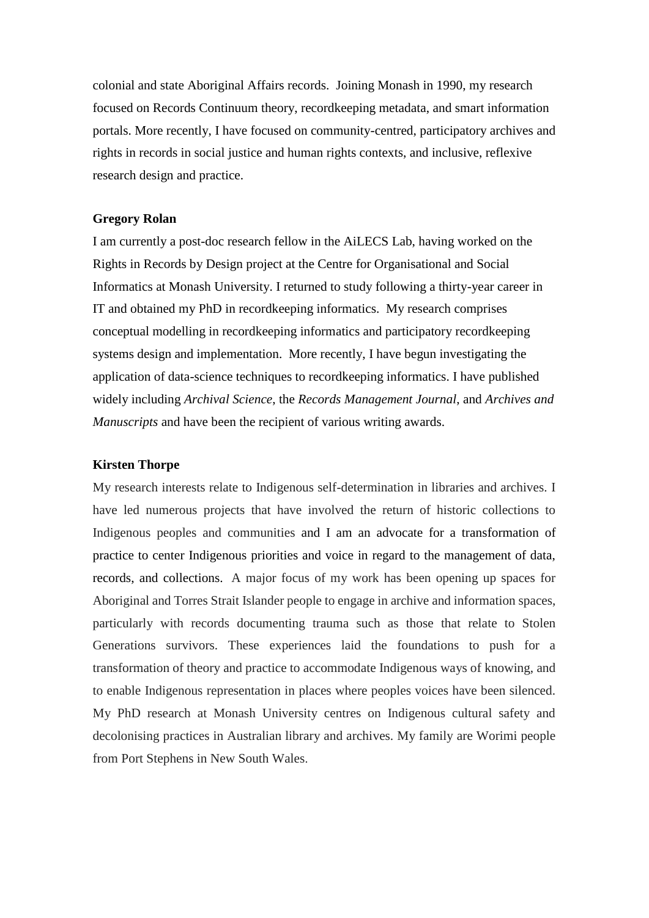colonial and state Aboriginal Affairs records. Joining Monash in 1990, my research focused on Records Continuum theory, recordkeeping metadata, and smart information portals. More recently, I have focused on community-centred, participatory archives and rights in records in social justice and human rights contexts, and inclusive, reflexive research design and practice.

# **Gregory Rolan**

I am currently a post-doc research fellow in the AiLECS Lab, having worked on the Rights in Records by Design project at the Centre for Organisational and Social Informatics at Monash University. I returned to study following a thirty-year career in IT and obtained my PhD in recordkeeping informatics. My research comprises conceptual modelling in recordkeeping informatics and participatory recordkeeping systems design and implementation. More recently, I have begun investigating the application of data-science techniques to recordkeeping informatics. I have published widely including *Archival Science*, the *Records Management Journal*, and *Archives and Manuscripts* and have been the recipient of various writing awards.

# **Kirsten Thorpe**

My research interests relate to Indigenous self-determination in libraries and archives. I have led numerous projects that have involved the return of historic collections to Indigenous peoples and communities and I am an advocate for a transformation of practice to center Indigenous priorities and voice in regard to the management of data, records, and collections. A major focus of my work has been opening up spaces for Aboriginal and Torres Strait Islander people to engage in archive and information spaces, particularly with records documenting trauma such as those that relate to Stolen Generations survivors. These experiences laid the foundations to push for a transformation of theory and practice to accommodate Indigenous ways of knowing, and to enable Indigenous representation in places where peoples voices have been silenced. My PhD research at Monash University centres on Indigenous cultural safety and decolonising practices in Australian library and archives. My family are Worimi people from Port Stephens in New South Wales.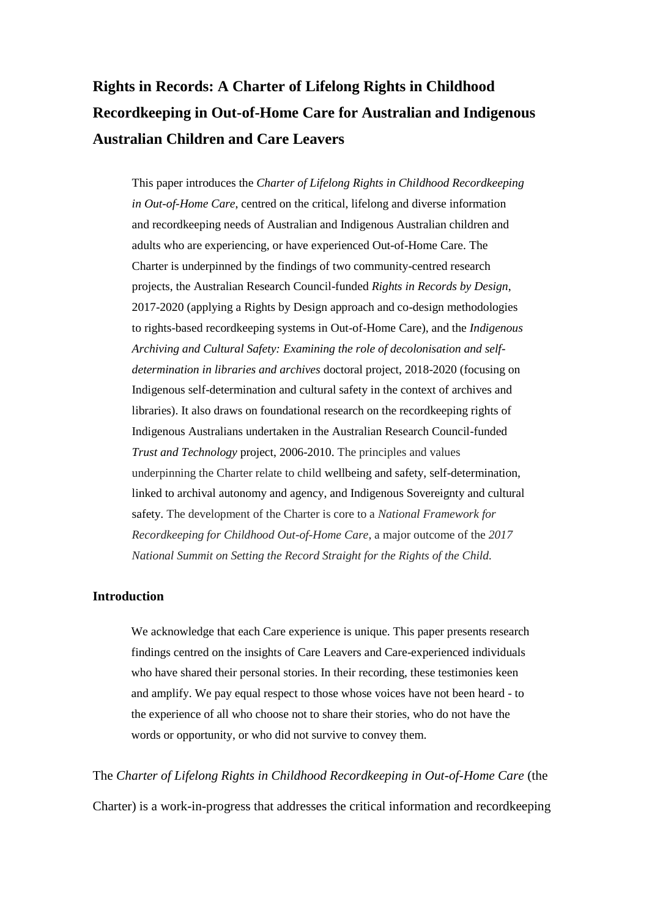# **Rights in Records: A Charter of Lifelong Rights in Childhood Recordkeeping in Out-of-Home Care for Australian and Indigenous Australian Children and Care Leavers**

This paper introduces the *Charter of Lifelong Rights in Childhood Recordkeeping in Out-of-Home Care*, centred on the critical, lifelong and diverse information and recordkeeping needs of Australian and Indigenous Australian children and adults who are experiencing, or have experienced Out-of-Home Care. The Charter is underpinned by the findings of two community-centred research projects, the Australian Research Council-funded *Rights in Records by Design*, 2017-2020 (applying a Rights by Design approach and co-design methodologies to rights-based recordkeeping systems in Out-of-Home Care), and the *Indigenous Archiving and Cultural Safety: Examining the role of decolonisation and selfdetermination in libraries and archives* doctoral project, 2018-2020 (focusing on Indigenous self-determination and cultural safety in the context of archives and libraries). It also draws on foundational research on the recordkeeping rights of Indigenous Australians undertaken in the Australian Research Council-funded *Trust and Technology* project, 2006-2010. The principles and values underpinning the Charter relate to child wellbeing and safety, self-determination, linked to archival autonomy and agency, and Indigenous Sovereignty and cultural safety. The development of the Charter is core to a *National Framework for Recordkeeping for Childhood Out-of-Home Care*, a major outcome of the *2017 National Summit on Setting the Record Straight for the Rights of the Child.*

# **Introduction**

We acknowledge that each Care experience is unique. This paper presents research findings centred on the insights of Care Leavers and Care-experienced individuals who have shared their personal stories. In their recording, these testimonies keen and amplify. We pay equal respect to those whose voices have not been heard - to the experience of all who choose not to share their stories, who do not have the words or opportunity, or who did not survive to convey them.

The *Charter of Lifelong Rights in Childhood Recordkeeping in Out-of-Home Care* (the Charter) is a work-in-progress that addresses the critical information and recordkeeping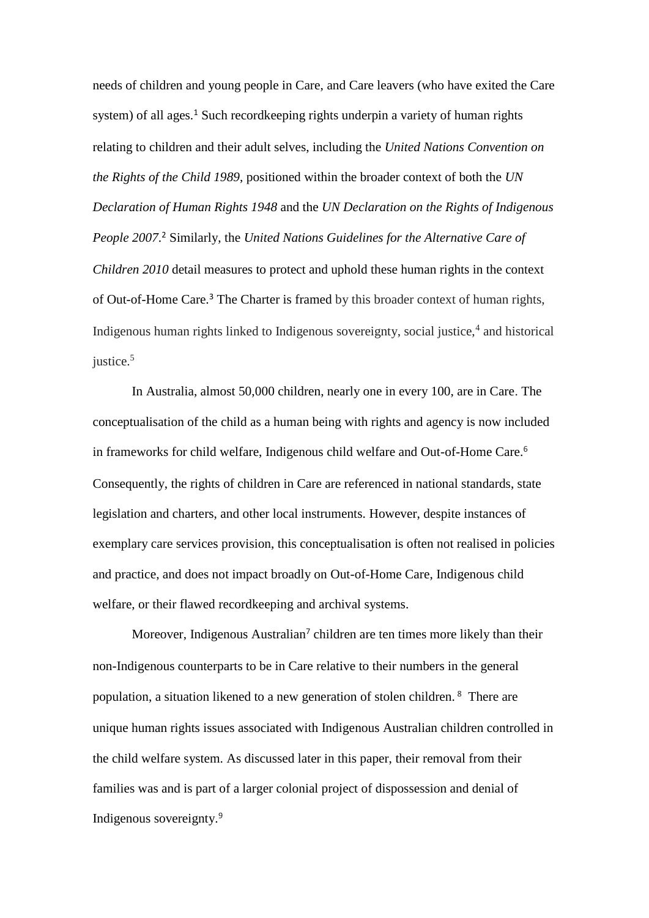needs of children and young people in Care, and Care leavers (who have exited the Care system) of all ages.<sup>1</sup> Such recordkeeping rights underpin a variety of human rights relating to children and their adult selves, including the *United Nations Convention on the Rights of the Child 1989*, positioned within the broader context of both the *UN Declaration of Human Rights 1948* and the *UN Declaration on the Rights of Indigenous People 2007*. <sup>2</sup> Similarly, the *United Nations Guidelines for the Alternative Care of Children 2010* detail measures to protect and uphold these human rights in the context of Out-of-Home Care.<sup>3</sup> The Charter is framed by this broader context of human rights, Indigenous human rights linked to Indigenous sovereignty, social justice,<sup>4</sup> and historical justice.<sup>5</sup>

In Australia, almost 50,000 children, nearly one in every 100, are in Care. The conceptualisation of the child as a human being with rights and agency is now included in frameworks for child welfare, Indigenous child welfare and Out-of-Home Care.<sup>6</sup> Consequently, the rights of children in Care are referenced in national standards, state legislation and charters, and other local instruments. However, despite instances of exemplary care services provision, this conceptualisation is often not realised in policies and practice, and does not impact broadly on Out-of-Home Care, Indigenous child welfare, or their flawed recordkeeping and archival systems.

Moreover, Indigenous Australian<sup>7</sup> children are ten times more likely than their non-Indigenous counterparts to be in Care relative to their numbers in the general population, a situation likened to a new generation of stolen children. <sup>8</sup> There are unique human rights issues associated with Indigenous Australian children controlled in the child welfare system. As discussed later in this paper, their removal from their families was and is part of a larger colonial project of dispossession and denial of Indigenous sovereignty.9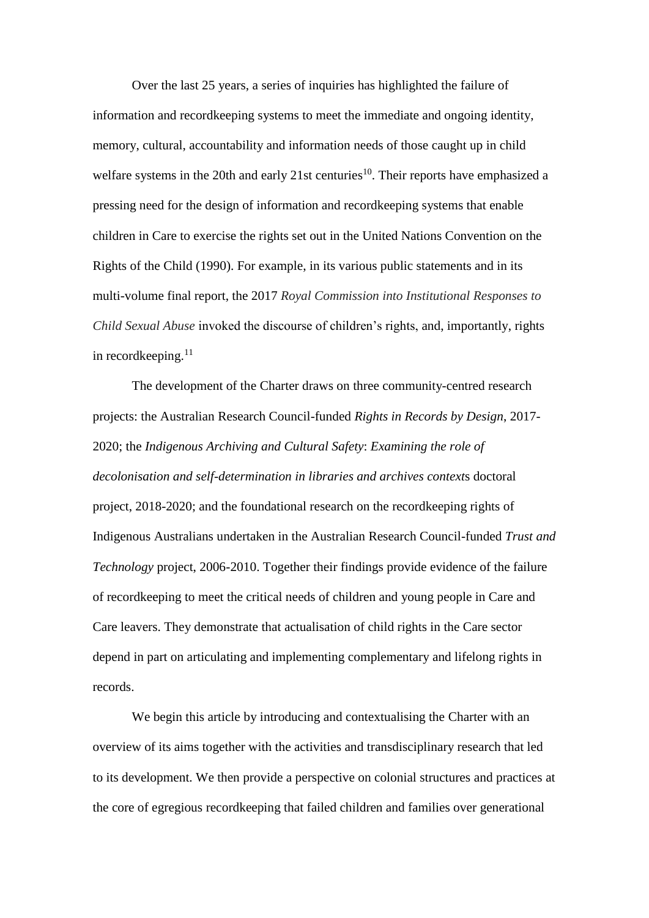Over the last 25 years, a series of inquiries has highlighted the failure of information and recordkeeping systems to meet the immediate and ongoing identity, memory, cultural, accountability and information needs of those caught up in child welfare systems in the 20th and early 21st centuries<sup>10</sup>. Their reports have emphasized a pressing need for the design of information and recordkeeping systems that enable children in Care to exercise the rights set out in the United Nations Convention on the Rights of the Child (1990). For example, in its various public statements and in its multi-volume final report, the 2017 *Royal Commission into Institutional Responses to Child Sexual Abuse* invoked the discourse of children's rights, and, importantly, rights in recordkeeping. $^{11}$ 

The development of the Charter draws on three community-centred research projects: the Australian Research Council-funded *Rights in Records by Design*, 2017- 2020; the *Indigenous Archiving and Cultural Safety*: *Examining the role of decolonisation and self-determination in libraries and archives context*s doctoral project, 2018-2020; and the foundational research on the recordkeeping rights of Indigenous Australians undertaken in the Australian Research Council-funded *Trust and Technology* project, 2006-2010. Together their findings provide evidence of the failure of recordkeeping to meet the critical needs of children and young people in Care and Care leavers. They demonstrate that actualisation of child rights in the Care sector depend in part on articulating and implementing complementary and lifelong rights in records.

We begin this article by introducing and contextualising the Charter with an overview of its aims together with the activities and transdisciplinary research that led to its development. We then provide a perspective on colonial structures and practices at the core of egregious recordkeeping that failed children and families over generational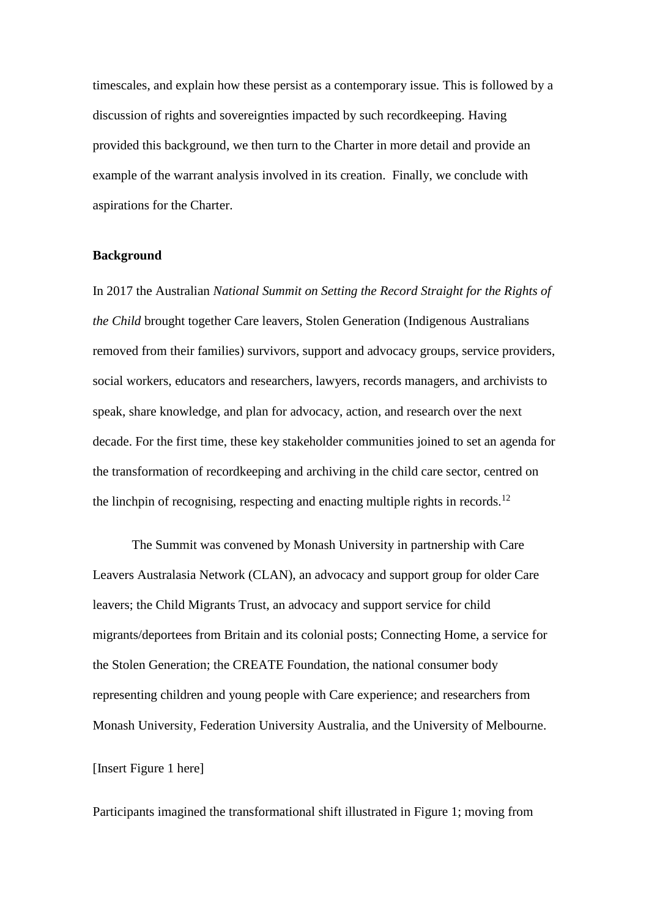timescales, and explain how these persist as a contemporary issue. This is followed by a discussion of rights and sovereignties impacted by such recordkeeping. Having provided this background, we then turn to the Charter in more detail and provide an example of the warrant analysis involved in its creation. Finally, we conclude with aspirations for the Charter.

#### **Background**

In 2017 the Australian *National Summit on Setting the Record Straight for the Rights of the Child* brought together Care leavers, Stolen Generation (Indigenous Australians removed from their families) survivors, support and advocacy groups, service providers, social workers, educators and researchers, lawyers, records managers, and archivists to speak, share knowledge, and plan for advocacy, action, and research over the next decade. For the first time, these key stakeholder communities joined to set an agenda for the transformation of recordkeeping and archiving in the child care sector, centred on the linchpin of recognising, respecting and enacting multiple rights in records.<sup>12</sup>

The Summit was convened by Monash University in partnership with Care Leavers Australasia Network (CLAN), an advocacy and support group for older Care leavers; the Child Migrants Trust, an advocacy and support service for child migrants/deportees from Britain and its colonial posts; Connecting Home, a service for the Stolen Generation; the CREATE Foundation, the national consumer body representing children and young people with Care experience; and researchers from Monash University, Federation University Australia, and the University of Melbourne.

# [Insert Figure 1 here]

Participants imagined the transformational shift illustrated in Figure 1; moving from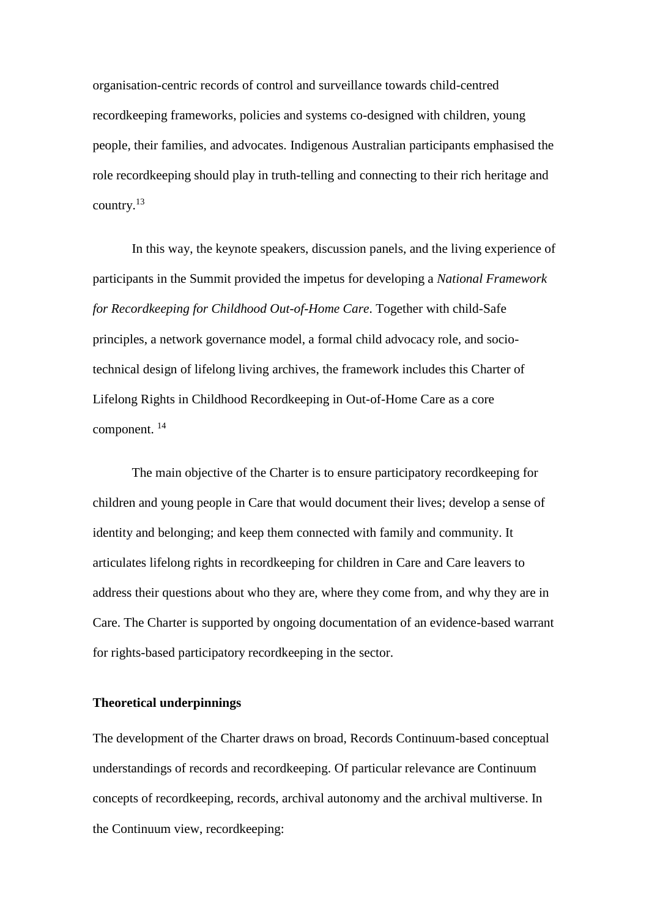organisation-centric records of control and surveillance towards child-centred recordkeeping frameworks, policies and systems co-designed with children, young people, their families, and advocates. Indigenous Australian participants emphasised the role recordkeeping should play in truth-telling and connecting to their rich heritage and country.<sup>13</sup>

In this way, the keynote speakers, discussion panels, and the living experience of participants in the Summit provided the impetus for developing a *National Framework for Recordkeeping for Childhood Out-of-Home Care*. Together with child-Safe principles, a network governance model, a formal child advocacy role, and sociotechnical design of lifelong living archives, the framework includes this Charter of Lifelong Rights in Childhood Recordkeeping in Out-of-Home Care as a core component. 14

The main objective of the Charter is to ensure participatory recordkeeping for children and young people in Care that would document their lives; develop a sense of identity and belonging; and keep them connected with family and community. It articulates lifelong rights in recordkeeping for children in Care and Care leavers to address their questions about who they are, where they come from, and why they are in Care. The Charter is supported by ongoing documentation of an evidence-based warrant for rights-based participatory recordkeeping in the sector.

# **Theoretical underpinnings**

The development of the Charter draws on broad, Records Continuum-based conceptual understandings of records and recordkeeping. Of particular relevance are Continuum concepts of recordkeeping, records, archival autonomy and the archival multiverse. In the Continuum view, recordkeeping: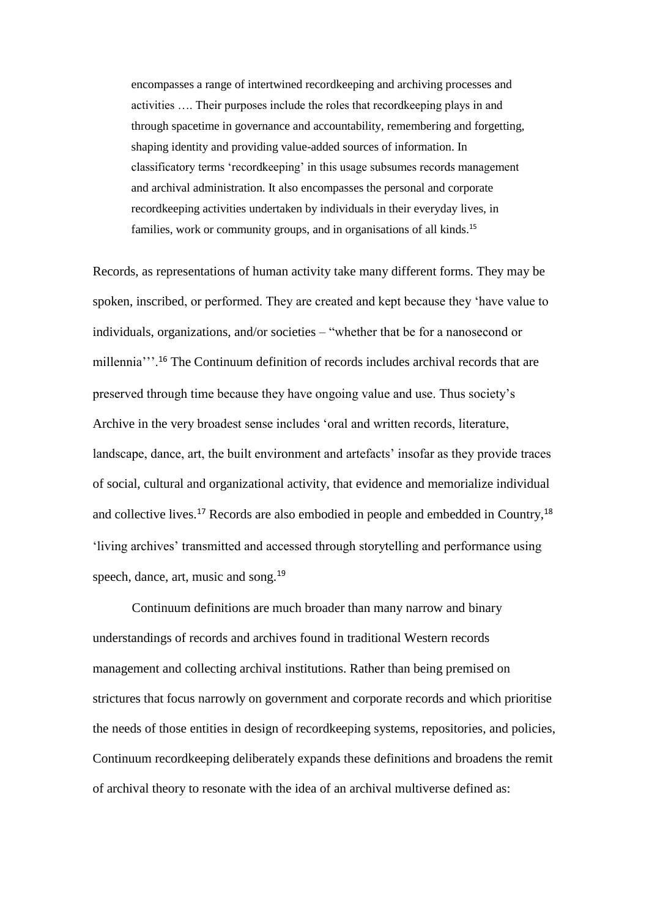encompasses a range of intertwined recordkeeping and archiving processes and activities …. Their purposes include the roles that recordkeeping plays in and through spacetime in governance and accountability, remembering and forgetting, shaping identity and providing value-added sources of information. In classificatory terms 'recordkeeping' in this usage subsumes records management and archival administration. It also encompasses the personal and corporate recordkeeping activities undertaken by individuals in their everyday lives, in families, work or community groups, and in organisations of all kinds.<sup>15</sup>

Records, as representations of human activity take many different forms. They may be spoken, inscribed, or performed. They are created and kept because they 'have value to individuals, organizations, and/or societies – "whether that be for a nanosecond or millennia'''.<sup>16</sup> The Continuum definition of records includes archival records that are preserved through time because they have ongoing value and use. Thus society's Archive in the very broadest sense includes 'oral and written records, literature, landscape, dance, art, the built environment and artefacts' insofar as they provide traces of social, cultural and organizational activity, that evidence and memorialize individual and collective lives.<sup>17</sup> Records are also embodied in people and embedded in Country,<sup>18</sup> 'living archives' transmitted and accessed through storytelling and performance using speech, dance, art, music and song.<sup>19</sup>

Continuum definitions are much broader than many narrow and binary understandings of records and archives found in traditional Western records management and collecting archival institutions. Rather than being premised on strictures that focus narrowly on government and corporate records and which prioritise the needs of those entities in design of recordkeeping systems, repositories, and policies, Continuum recordkeeping deliberately expands these definitions and broadens the remit of archival theory to resonate with the idea of an archival multiverse defined as: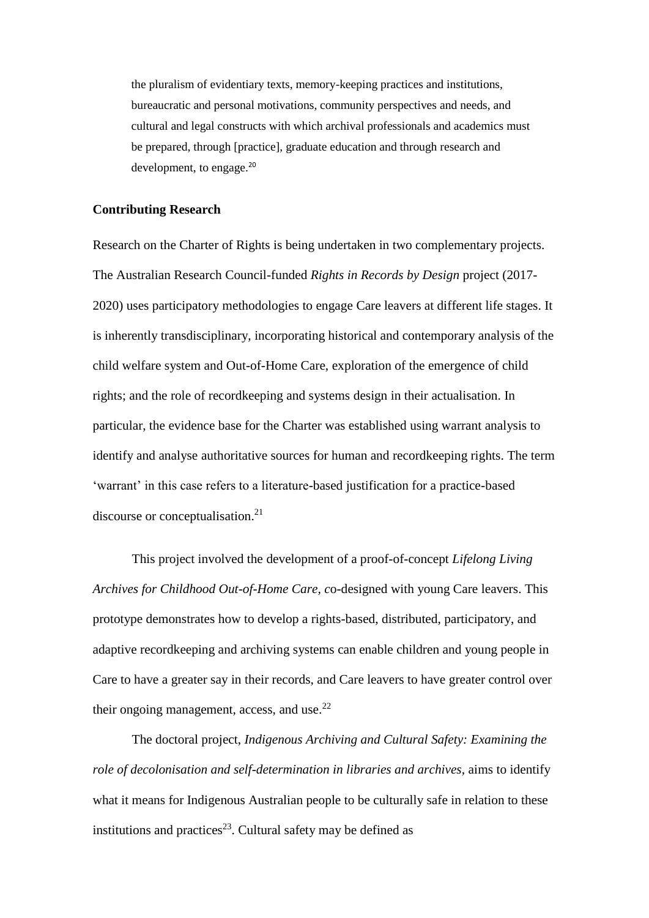the pluralism of evidentiary texts, memory-keeping practices and institutions, bureaucratic and personal motivations, community perspectives and needs, and cultural and legal constructs with which archival professionals and academics must be prepared, through [practice], graduate education and through research and development, to engage.<sup>20</sup>

# **Contributing Research**

Research on the Charter of Rights is being undertaken in two complementary projects. The Australian Research Council-funded *Rights in Records by Design* project (2017- 2020) uses participatory methodologies to engage Care leavers at different life stages. It is inherently transdisciplinary, incorporating historical and contemporary analysis of the child welfare system and Out-of-Home Care, exploration of the emergence of child rights; and the role of recordkeeping and systems design in their actualisation. In particular, the evidence base for the Charter was established using warrant analysis to identify and analyse authoritative sources for human and recordkeeping rights. The term 'warrant' in this case refers to a literature-based justification for a practice-based discourse or conceptualisation. 21

This project involved the development of a proof-of-concept *Lifelong Living Archives for Childhood Out-of-Home Care, c*o-designed with young Care leavers. This prototype demonstrates how to develop a rights-based, distributed, participatory, and adaptive recordkeeping and archiving systems can enable children and young people in Care to have a greater say in their records, and Care leavers to have greater control over their ongoing management, access, and use. $^{22}$ 

The doctoral project, *Indigenous Archiving and Cultural Safety: Examining the role of decolonisation and self-determination in libraries and archives*, aims to identify what it means for Indigenous Australian people to be culturally safe in relation to these institutions and practices<sup>23</sup>. Cultural safety may be defined as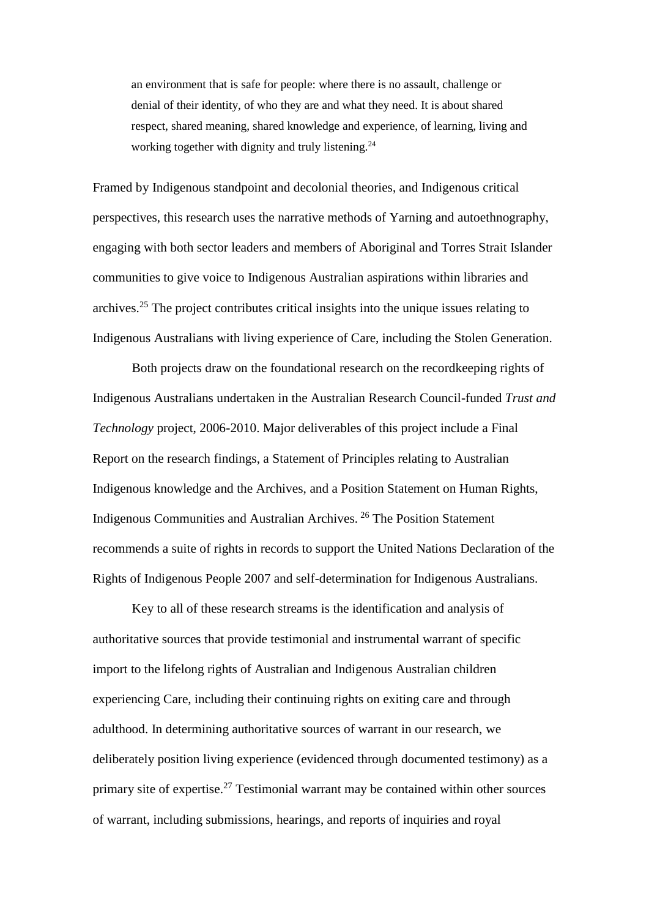an environment that is safe for people: where there is no assault, challenge or denial of their identity, of who they are and what they need. It is about shared respect, shared meaning, shared knowledge and experience, of learning, living and working together with dignity and truly listening.<sup>24</sup>

Framed by Indigenous standpoint and decolonial theories, and Indigenous critical perspectives, this research uses the narrative methods of Yarning and autoethnography, engaging with both sector leaders and members of Aboriginal and Torres Strait Islander communities to give voice to Indigenous Australian aspirations within libraries and archives.<sup>25</sup> The project contributes critical insights into the unique issues relating to Indigenous Australians with living experience of Care, including the Stolen Generation.

Both projects draw on the foundational research on the recordkeeping rights of Indigenous Australians undertaken in the Australian Research Council-funded *Trust and Technology* project, 2006-2010. Major deliverables of this project include a Final Report on the research findings, a Statement of Principles relating to Australian Indigenous knowledge and the Archives, and a Position Statement on Human Rights, Indigenous Communities and Australian Archives. <sup>26</sup> The Position Statement recommends a suite of rights in records to support the United Nations Declaration of the Rights of Indigenous People 2007 and self-determination for Indigenous Australians.

Key to all of these research streams is the identification and analysis of authoritative sources that provide testimonial and instrumental warrant of specific import to the lifelong rights of Australian and Indigenous Australian children experiencing Care, including their continuing rights on exiting care and through adulthood. In determining authoritative sources of warrant in our research, we deliberately position living experience (evidenced through documented testimony) as a primary site of expertise.<sup>27</sup> Testimonial warrant may be contained within other sources of warrant, including submissions, hearings, and reports of inquiries and royal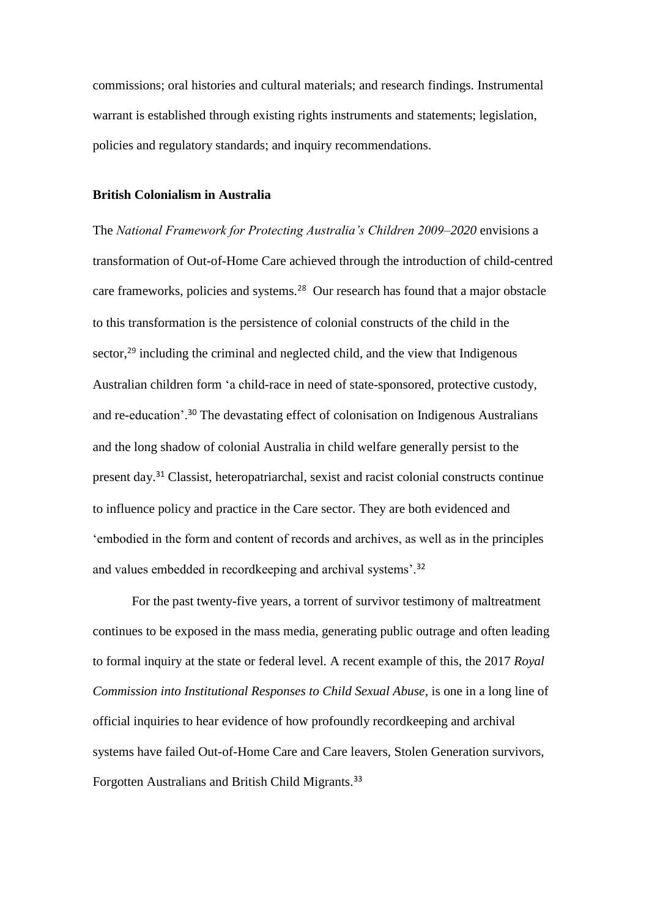commissions; oral histories and cultural materials; and research findings. Instrumental warrant is established through existing rights instruments and statements; legislation, policies and regulatory standards; and inquiry recommendations.

# **British Colonialism in Australia**

The *National Framework for Protecting Australia's Children 2009–2020* envisions a transformation of Out-of-Home Care achieved through the introduction of child-centred care frameworks, policies and systems.<sup>28</sup> Our research has found that a major obstacle to this transformation is the persistence of colonial constructs of the child in the sector,<sup>29</sup> including the criminal and neglected child, and the view that Indigenous Australian children form 'a child-race in need of state-sponsored, protective custody, and re-education'.<sup>30</sup> The devastating effect of colonisation on Indigenous Australians and the long shadow of colonial Australia in child welfare generally persist to the present day.<sup>31</sup> Classist, heteropatriarchal, sexist and racist colonial constructs continue to influence policy and practice in the Care sector. They are both evidenced and 'embodied in the form and content of records and archives, as well as in the principles and values embedded in recordkeeping and archival systems'.<sup>32</sup>

For the past twenty-five years, a torrent of survivor testimony of maltreatment continues to be exposed in the mass media, generating public outrage and often leading to formal inquiry at the state or federal level. A recent example of this, the 2017 *Royal Commission into Institutional Responses to Child Sexual Abuse,* is one in a long line of official inquiries to hear evidence of how profoundly recordkeeping and archival systems have failed Out-of-Home Care and Care leavers, Stolen Generation survivors, Forgotten Australians and British Child Migrants.33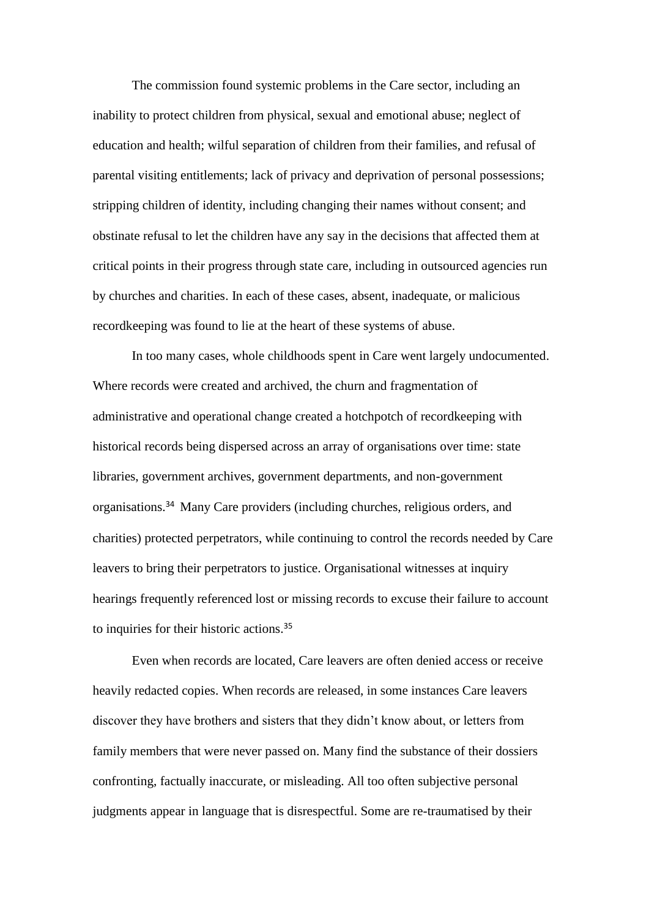The commission found systemic problems in the Care sector, including an inability to protect children from physical, sexual and emotional abuse; neglect of education and health; wilful separation of children from their families, and refusal of parental visiting entitlements; lack of privacy and deprivation of personal possessions; stripping children of identity, including changing their names without consent; and obstinate refusal to let the children have any say in the decisions that affected them at critical points in their progress through state care, including in outsourced agencies run by churches and charities. In each of these cases, absent, inadequate, or malicious recordkeeping was found to lie at the heart of these systems of abuse.

In too many cases, whole childhoods spent in Care went largely undocumented. Where records were created and archived, the churn and fragmentation of administrative and operational change created a hotchpotch of recordkeeping with historical records being dispersed across an array of organisations over time: state libraries, government archives, government departments, and non-government organisations.<sup>34</sup> Many Care providers (including churches, religious orders, and charities) protected perpetrators, while continuing to control the records needed by Care leavers to bring their perpetrators to justice. Organisational witnesses at inquiry hearings frequently referenced lost or missing records to excuse their failure to account to inquiries for their historic actions.<sup>35</sup>

Even when records are located, Care leavers are often denied access or receive heavily redacted copies. When records are released, in some instances Care leavers discover they have brothers and sisters that they didn't know about, or letters from family members that were never passed on. Many find the substance of their dossiers confronting, factually inaccurate, or misleading. All too often subjective personal judgments appear in language that is disrespectful. Some are re-traumatised by their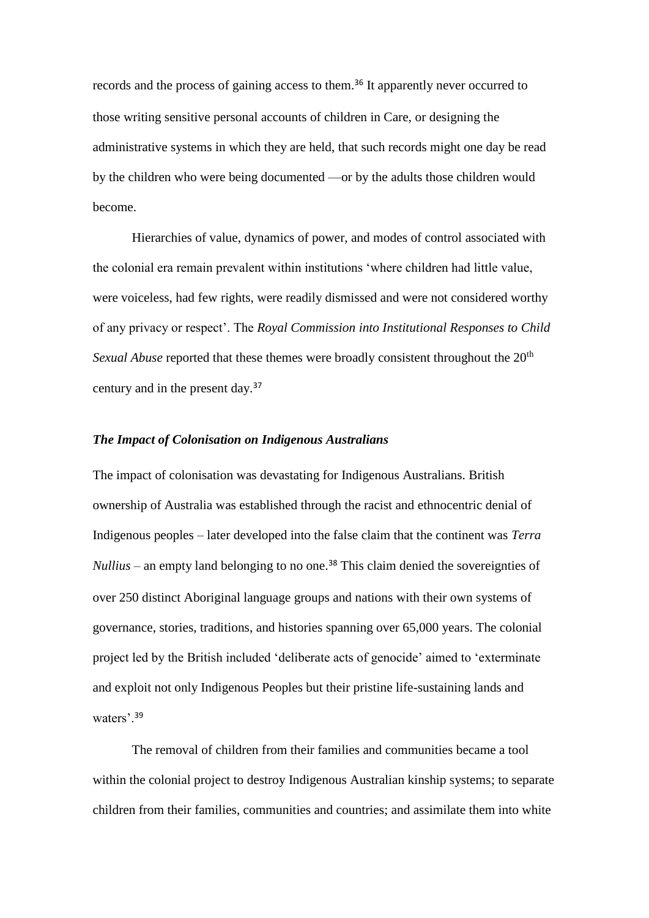records and the process of gaining access to them.<sup>36</sup> It apparently never occurred to those writing sensitive personal accounts of children in Care, or designing the administrative systems in which they are held, that such records might one day be read by the children who were being documented —or by the adults those children would become.

Hierarchies of value, dynamics of power, and modes of control associated with the colonial era remain prevalent within institutions 'where children had little value, were voiceless, had few rights, were readily dismissed and were not considered worthy of any privacy or respect'. The *Royal Commission into Institutional Responses to Child Sexual Abuse* reported that these themes were broadly consistent throughout the 20<sup>th</sup> century and in the present day.<sup>37</sup>

# *The Impact of Colonisation on Indigenous Australians*

The impact of colonisation was devastating for Indigenous Australians. British ownership of Australia was established through the racist and ethnocentric denial of Indigenous peoples – later developed into the false claim that the continent was *Terra Nullius* – an empty land belonging to no one.<sup>38</sup> This claim denied the sovereignties of over 250 distinct Aboriginal language groups and nations with their own systems of governance, stories, traditions, and histories spanning over 65,000 years. The colonial project led by the British included 'deliberate acts of genocide' aimed to 'exterminate and exploit not only Indigenous Peoples but their pristine life-sustaining lands and waters'.<sup>39</sup>

The removal of children from their families and communities became a tool within the colonial project to destroy Indigenous Australian kinship systems; to separate children from their families, communities and countries; and assimilate them into white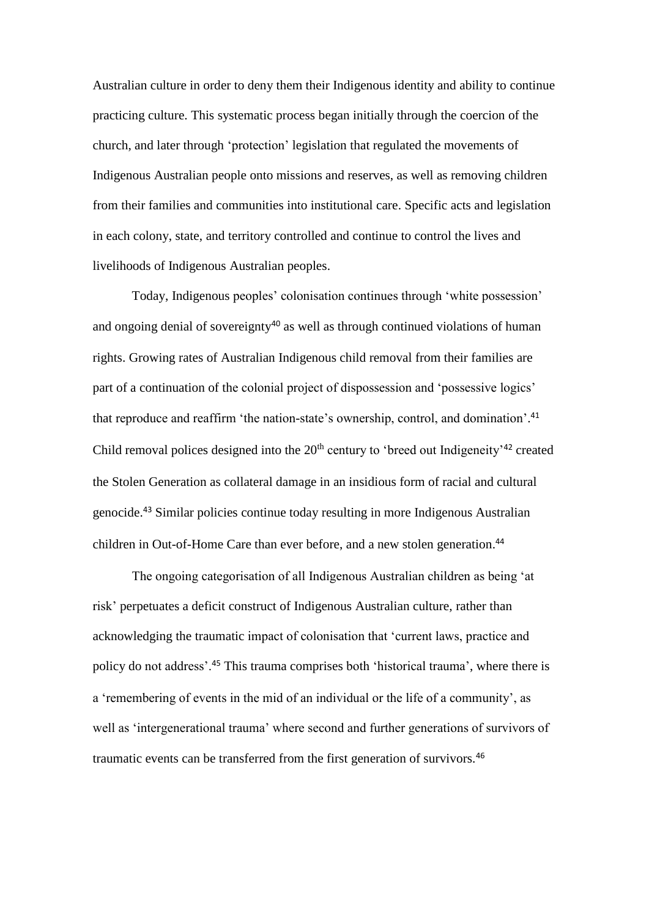Australian culture in order to deny them their Indigenous identity and ability to continue practicing culture. This systematic process began initially through the coercion of the church, and later through 'protection' legislation that regulated the movements of Indigenous Australian people onto missions and reserves, as well as removing children from their families and communities into institutional care. Specific acts and legislation in each colony, state, and territory controlled and continue to control the lives and livelihoods of Indigenous Australian peoples.

Today, Indigenous peoples' colonisation continues through 'white possession' and ongoing denial of sovereignty<sup>40</sup> as well as through continued violations of human rights. Growing rates of Australian Indigenous child removal from their families are part of a continuation of the colonial project of dispossession and 'possessive logics' that reproduce and reaffirm 'the nation-state's ownership, control, and domination'. 41 Child removal polices designed into the  $20<sup>th</sup>$  century to 'breed out Indigeneity'<sup>42</sup> created the Stolen Generation as collateral damage in an insidious form of racial and cultural genocide.<sup>43</sup> Similar policies continue today resulting in more Indigenous Australian children in Out-of-Home Care than ever before, and a new stolen generation. 44

The ongoing categorisation of all Indigenous Australian children as being 'at risk' perpetuates a deficit construct of Indigenous Australian culture, rather than acknowledging the traumatic impact of colonisation that 'current laws, practice and policy do not address'.<sup>45</sup> This trauma comprises both 'historical trauma', where there is a 'remembering of events in the mid of an individual or the life of a community', as well as 'intergenerational trauma' where second and further generations of survivors of traumatic events can be transferred from the first generation of survivors.46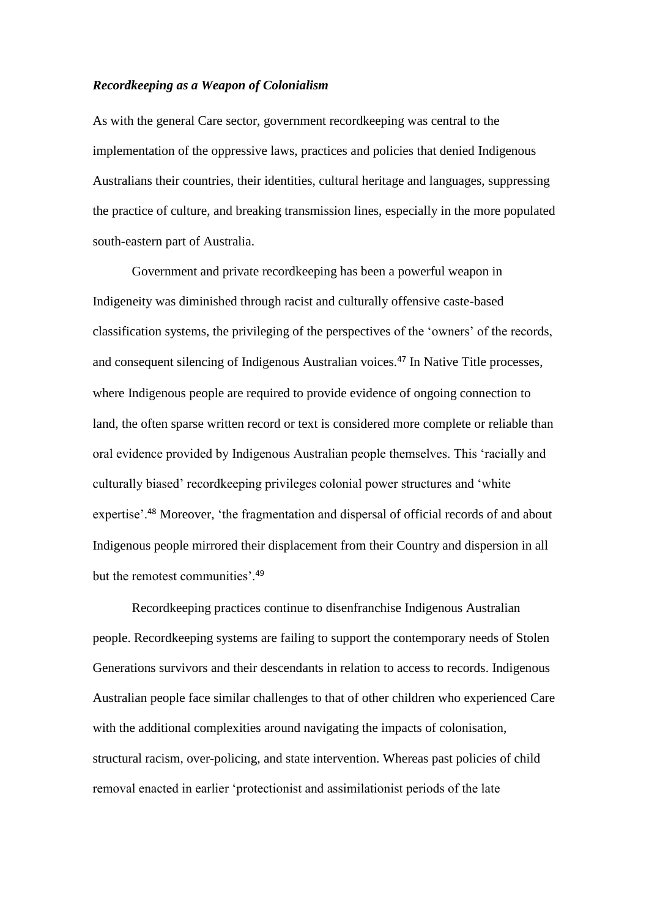### *Recordkeeping as a Weapon of Colonialism*

As with the general Care sector, government recordkeeping was central to the implementation of the oppressive laws, practices and policies that denied Indigenous Australians their countries, their identities, cultural heritage and languages, suppressing the practice of culture, and breaking transmission lines, especially in the more populated south-eastern part of Australia.

Government and private recordkeeping has been a powerful weapon in Indigeneity was diminished through racist and culturally offensive caste-based classification systems, the privileging of the perspectives of the 'owners' of the records, and consequent silencing of Indigenous Australian voices.<sup>47</sup> In Native Title processes, where Indigenous people are required to provide evidence of ongoing connection to land, the often sparse written record or text is considered more complete or reliable than oral evidence provided by Indigenous Australian people themselves. This 'racially and culturally biased' recordkeeping privileges colonial power structures and 'white expertise'.<sup>48</sup> Moreover, 'the fragmentation and dispersal of official records of and about Indigenous people mirrored their displacement from their Country and dispersion in all but the remotest communities'.<sup>49</sup>

Recordkeeping practices continue to disenfranchise Indigenous Australian people. Recordkeeping systems are failing to support the contemporary needs of Stolen Generations survivors and their descendants in relation to access to records. Indigenous Australian people face similar challenges to that of other children who experienced Care with the additional complexities around navigating the impacts of colonisation, structural racism, over-policing, and state intervention. Whereas past policies of child removal enacted in earlier 'protectionist and assimilationist periods of the late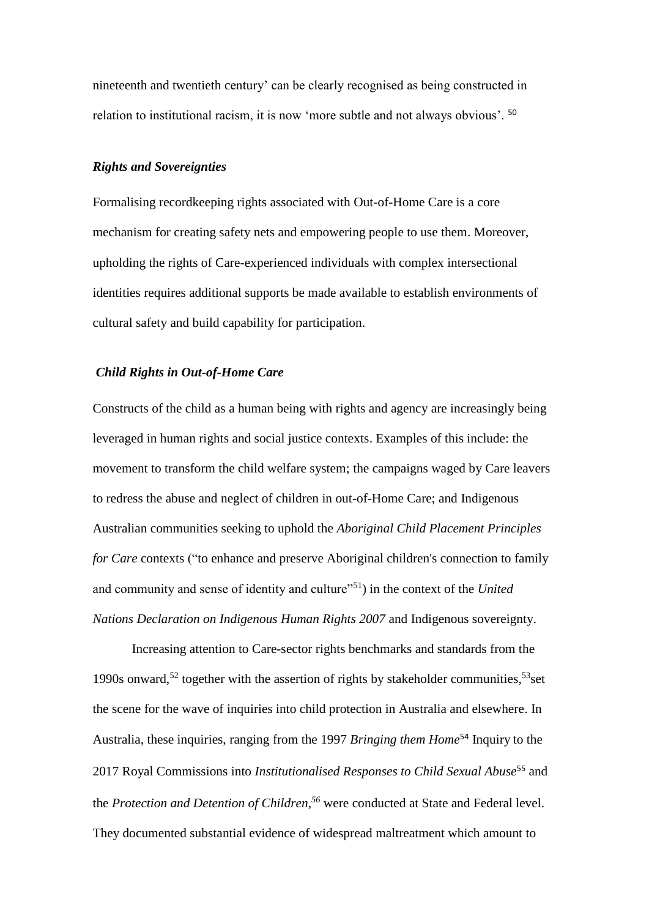nineteenth and twentieth century' can be clearly recognised as being constructed in relation to institutional racism, it is now 'more subtle and not always obvious'. <sup>50</sup>

# *Rights and Sovereignties*

Formalising recordkeeping rights associated with Out-of-Home Care is a core mechanism for creating safety nets and empowering people to use them. Moreover, upholding the rights of Care-experienced individuals with complex intersectional identities requires additional supports be made available to establish environments of cultural safety and build capability for participation.

## *Child Rights in Out-of-Home Care*

Constructs of the child as a human being with rights and agency are increasingly being leveraged in human rights and social justice contexts. Examples of this include: the movement to transform the child welfare system; the campaigns waged by Care leavers to redress the abuse and neglect of children in out-of-Home Care; and Indigenous Australian communities seeking to uphold the *Aboriginal Child Placement Principles for Care* contexts ("to enhance and preserve Aboriginal children's connection to family and community and sense of identity and culture<sup>"51</sup>) in the context of the *United Nations Declaration on Indigenous Human Rights 2007* and Indigenous sovereignty.

Increasing attention to Care-sector rights benchmarks and standards from the 1990s onward,<sup>52</sup> together with the assertion of rights by stakeholder communities,<sup>53</sup>set the scene for the wave of inquiries into child protection in Australia and elsewhere. In Australia, these inquiries, ranging from the 1997 *Bringing them Home*<sup>54</sup> Inquiry to the 2017 Royal Commissions into *Institutionalised Responses to Child Sexual Abuse*<sup>55</sup> and the *Protection and Detention of Children, <sup>56</sup>* were conducted at State and Federal level. They documented substantial evidence of widespread maltreatment which amount to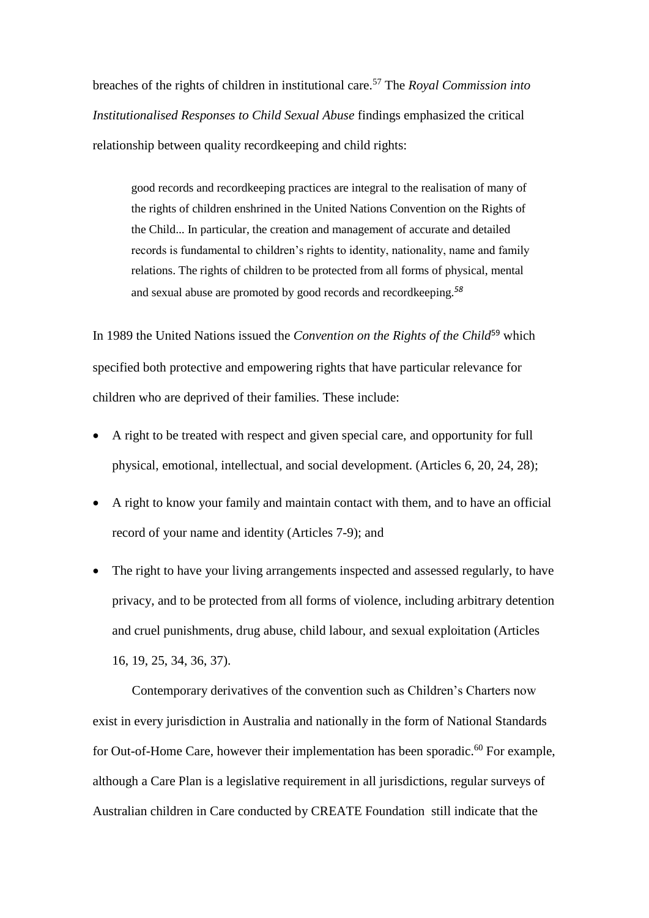breaches of the rights of children in institutional care.<sup>57</sup> The *Royal Commission into Institutionalised Responses to Child Sexual Abuse* findings emphasized the critical relationship between quality recordkeeping and child rights:

good records and recordkeeping practices are integral to the realisation of many of the rights of children enshrined in the United Nations Convention on the Rights of the Child... In particular, the creation and management of accurate and detailed records is fundamental to children's rights to identity, nationality, name and family relations. The rights of children to be protected from all forms of physical, mental and sexual abuse are promoted by good records and recordkeeping.*<sup>58</sup>*

In 1989 the United Nations issued the *Convention on the Rights of the Child*<sup>59</sup> which specified both protective and empowering rights that have particular relevance for children who are deprived of their families. These include:

- A right to be treated with respect and given special care, and opportunity for full physical, emotional, intellectual, and social development. (Articles 6, 20, 24, 28);
- A right to know your family and maintain contact with them, and to have an official record of your name and identity (Articles 7-9); and
- The right to have your living arrangements inspected and assessed regularly, to have privacy, and to be protected from all forms of violence, including arbitrary detention and cruel punishments, drug abuse, child labour, and sexual exploitation (Articles 16, 19, 25, 34, 36, 37).

Contemporary derivatives of the convention such as Children's Charters now exist in every jurisdiction in Australia and nationally in the form of National Standards for Out-of-Home Care, however their implementation has been sporadic.<sup>60</sup> For example, although a Care Plan is a legislative requirement in all jurisdictions, regular surveys of Australian children in Care conducted by CREATE Foundation still indicate that the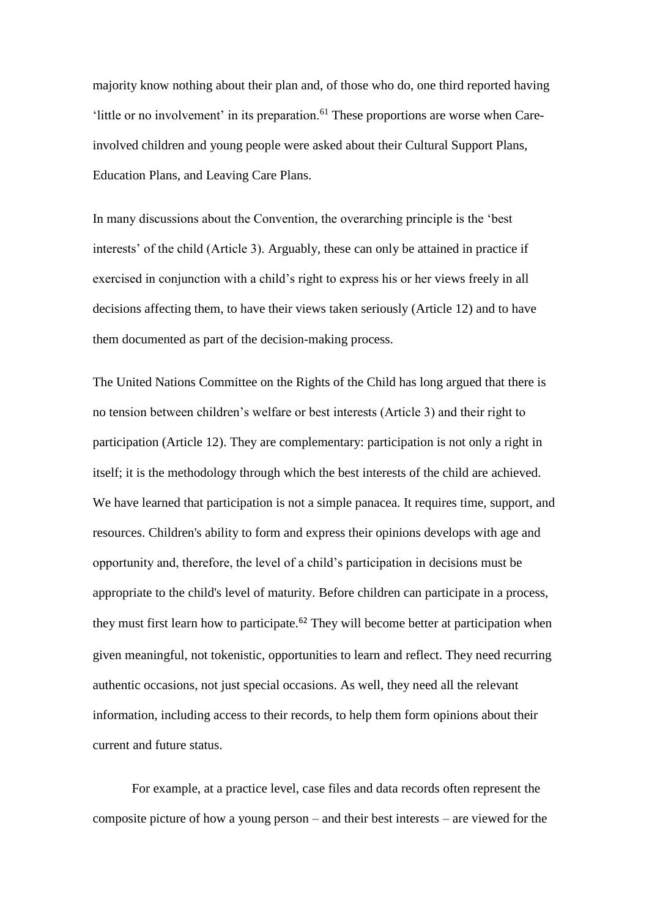majority know nothing about their plan and, of those who do, one third reported having 'little or no involvement' in its preparation. $61$  These proportions are worse when Careinvolved children and young people were asked about their Cultural Support Plans, Education Plans, and Leaving Care Plans.

In many discussions about the Convention, the overarching principle is the 'best interests' of the child (Article 3). Arguably, these can only be attained in practice if exercised in conjunction with a child's right to express his or her views freely in all decisions affecting them, to have their views taken seriously (Article 12) and to have them documented as part of the decision-making process.

The United Nations Committee on the Rights of the Child has long argued that there is no tension between children's welfare or best interests (Article 3) and their right to participation (Article 12). They are complementary: participation is not only a right in itself; it is the methodology through which the best interests of the child are achieved. We have learned that participation is not a simple panacea. It requires time, support, and resources. Children's ability to form and express their opinions develops with age and opportunity and, therefore, the level of a child's participation in decisions must be appropriate to the child's level of maturity. Before children can participate in a process, they must first learn how to participate.<sup>62</sup> They will become better at participation when given meaningful, not tokenistic, opportunities to learn and reflect. They need recurring authentic occasions, not just special occasions. As well, they need all the relevant information, including access to their records, to help them form opinions about their current and future status.

For example, at a practice level, case files and data records often represent the composite picture of how a young person – and their best interests – are viewed for the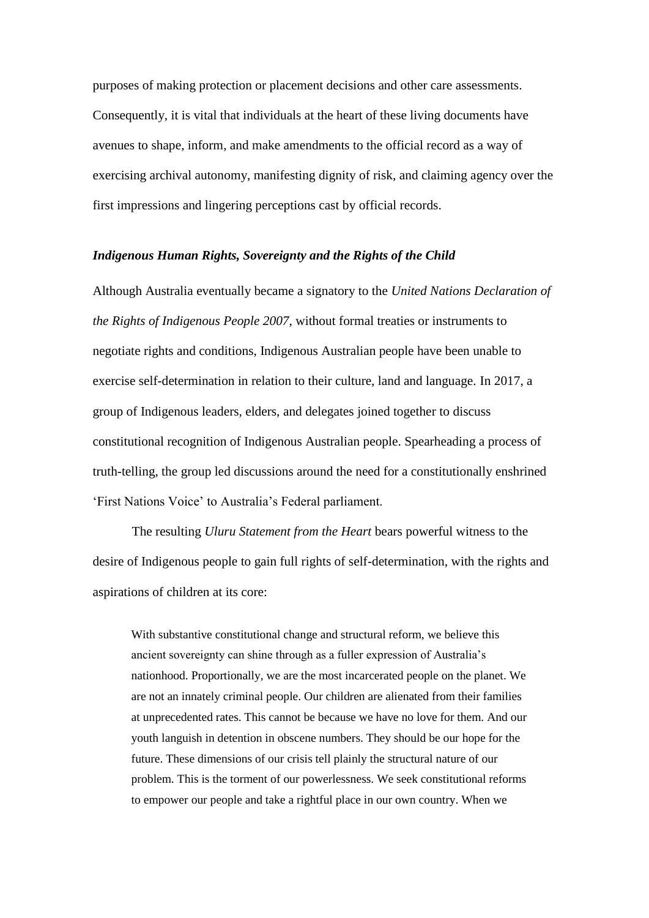purposes of making protection or placement decisions and other care assessments. Consequently, it is vital that individuals at the heart of these living documents have avenues to shape, inform, and make amendments to the official record as a way of exercising archival autonomy, manifesting dignity of risk, and claiming agency over the first impressions and lingering perceptions cast by official records.

### *Indigenous Human Rights, Sovereignty and the Rights of the Child*

Although Australia eventually became a signatory to the *United Nations Declaration of the Rights of Indigenous People 2007*, without formal treaties or instruments to negotiate rights and conditions, Indigenous Australian people have been unable to exercise self-determination in relation to their culture, land and language. In 2017, a group of Indigenous leaders, elders, and delegates joined together to discuss constitutional recognition of Indigenous Australian people. Spearheading a process of truth-telling, the group led discussions around the need for a constitutionally enshrined 'First Nations Voice' to Australia's Federal parliament.

The resulting *Uluru Statement from the Heart* bears powerful witness to the desire of Indigenous people to gain full rights of self-determination, with the rights and aspirations of children at its core:

With substantive constitutional change and structural reform, we believe this ancient sovereignty can shine through as a fuller expression of Australia's nationhood. Proportionally, we are the most incarcerated people on the planet. We are not an innately criminal people. Our children are alienated from their families at unprecedented rates. This cannot be because we have no love for them. And our youth languish in detention in obscene numbers. They should be our hope for the future. These dimensions of our crisis tell plainly the structural nature of our problem. This is the torment of our powerlessness. We seek constitutional reforms to empower our people and take a rightful place in our own country. When we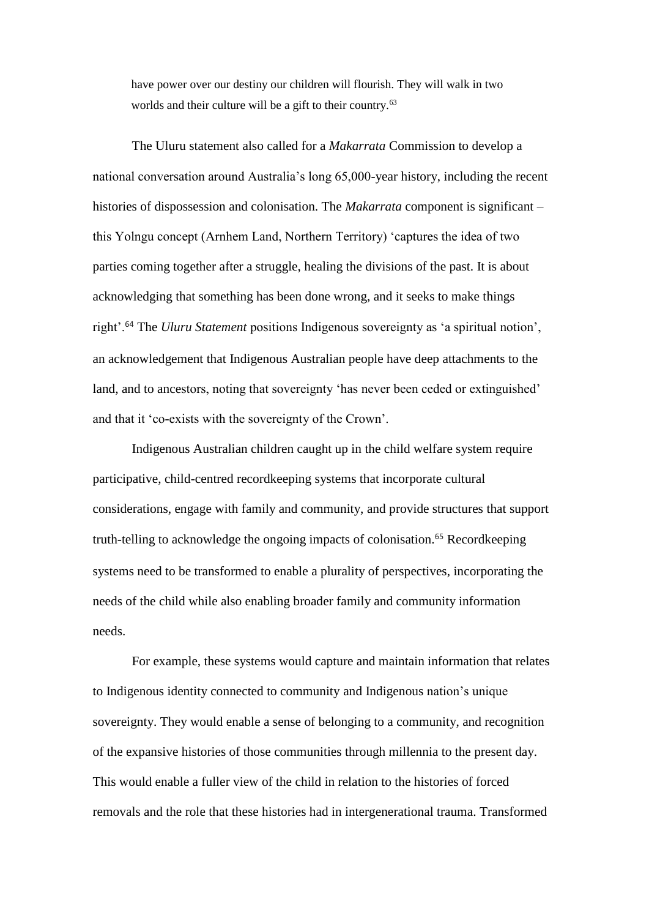have power over our destiny our children will flourish. They will walk in two worlds and their culture will be a gift to their country.<sup>63</sup>

The Uluru statement also called for a *Makarrata* Commission to develop a national conversation around Australia's long 65,000-year history, including the recent histories of dispossession and colonisation. The *Makarrata* component is significant – this Yolngu concept (Arnhem Land, Northern Territory) 'captures the idea of two parties coming together after a struggle, healing the divisions of the past. It is about acknowledging that something has been done wrong, and it seeks to make things right'.<sup>64</sup> The *Uluru Statement* positions Indigenous sovereignty as 'a spiritual notion', an acknowledgement that Indigenous Australian people have deep attachments to the land, and to ancestors, noting that sovereignty 'has never been ceded or extinguished' and that it 'co-exists with the sovereignty of the Crown'.

Indigenous Australian children caught up in the child welfare system require participative, child-centred recordkeeping systems that incorporate cultural considerations, engage with family and community, and provide structures that support truth-telling to acknowledge the ongoing impacts of colonisation.<sup>65</sup> Recordkeeping systems need to be transformed to enable a plurality of perspectives, incorporating the needs of the child while also enabling broader family and community information needs.

For example, these systems would capture and maintain information that relates to Indigenous identity connected to community and Indigenous nation's unique sovereignty. They would enable a sense of belonging to a community, and recognition of the expansive histories of those communities through millennia to the present day. This would enable a fuller view of the child in relation to the histories of forced removals and the role that these histories had in intergenerational trauma. Transformed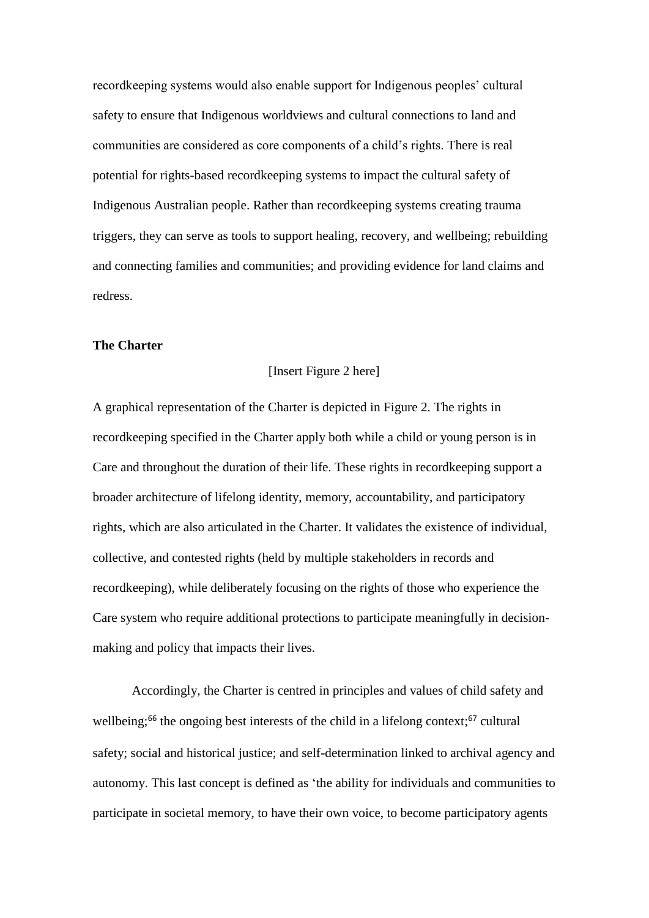recordkeeping systems would also enable support for Indigenous peoples' cultural safety to ensure that Indigenous worldviews and cultural connections to land and communities are considered as core components of a child's rights. There is real potential for rights-based recordkeeping systems to impact the cultural safety of Indigenous Australian people. Rather than recordkeeping systems creating trauma triggers, they can serve as tools to support healing, recovery, and wellbeing; rebuilding and connecting families and communities; and providing evidence for land claims and redress.

#### **The Charter**

#### [Insert Figure 2 here]

A graphical representation of the Charter is depicted in Figure 2. The rights in recordkeeping specified in the Charter apply both while a child or young person is in Care and throughout the duration of their life. These rights in recordkeeping support a broader architecture of lifelong identity, memory, accountability, and participatory rights, which are also articulated in the Charter. It validates the existence of individual, collective, and contested rights (held by multiple stakeholders in records and recordkeeping), while deliberately focusing on the rights of those who experience the Care system who require additional protections to participate meaningfully in decisionmaking and policy that impacts their lives.

Accordingly, the Charter is centred in principles and values of child safety and wellbeing;<sup>66</sup> the ongoing best interests of the child in a lifelong context;<sup>67</sup> cultural safety; social and historical justice; and self-determination linked to archival agency and autonomy. This last concept is defined as 'the ability for individuals and communities to participate in societal memory, to have their own voice, to become participatory agents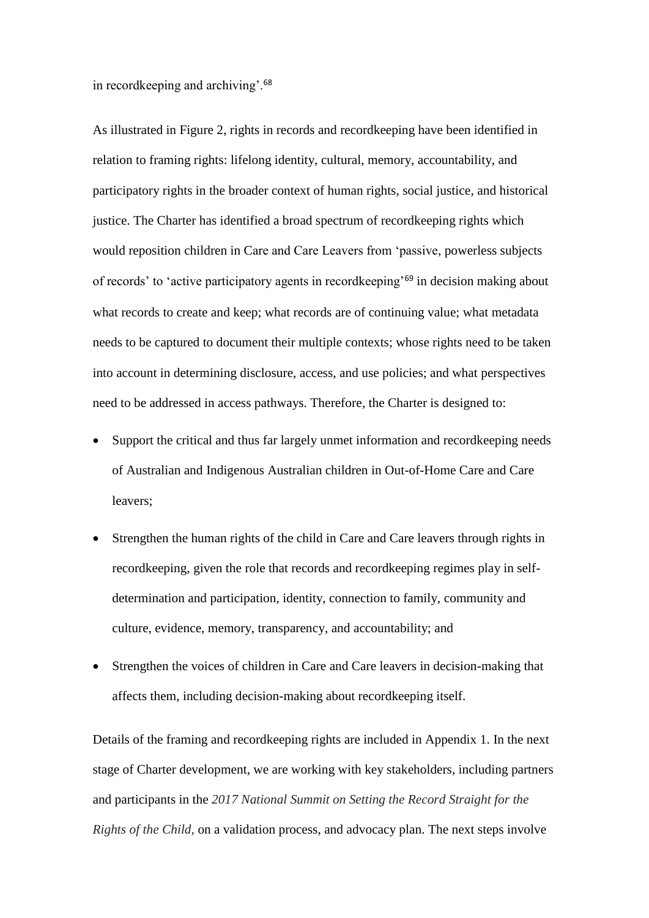in recordkeeping and archiving'.<sup>68</sup>

As illustrated in Figure 2, rights in records and recordkeeping have been identified in relation to framing rights: lifelong identity, cultural, memory, accountability, and participatory rights in the broader context of human rights, social justice, and historical justice. The Charter has identified a broad spectrum of recordkeeping rights which would reposition children in Care and Care Leavers from 'passive, powerless subjects of records' to 'active participatory agents in record keeping<sup>'69</sup> in decision making about what records to create and keep; what records are of continuing value; what metadata needs to be captured to document their multiple contexts; whose rights need to be taken into account in determining disclosure, access, and use policies; and what perspectives need to be addressed in access pathways. Therefore, the Charter is designed to:

- Support the critical and thus far largely unmet information and recordkeeping needs of Australian and Indigenous Australian children in Out-of-Home Care and Care leavers;
- Strengthen the human rights of the child in Care and Care leavers through rights in recordkeeping, given the role that records and recordkeeping regimes play in selfdetermination and participation, identity, connection to family, community and culture, evidence, memory, transparency, and accountability; and
- Strengthen the voices of children in Care and Care leavers in decision-making that affects them, including decision-making about recordkeeping itself.

Details of the framing and recordkeeping rights are included in Appendix 1. In the next stage of Charter development, we are working with key stakeholders, including partners and participants in the *2017 National Summit on Setting the Record Straight for the Rights of the Child*, on a validation process, and advocacy plan. The next steps involve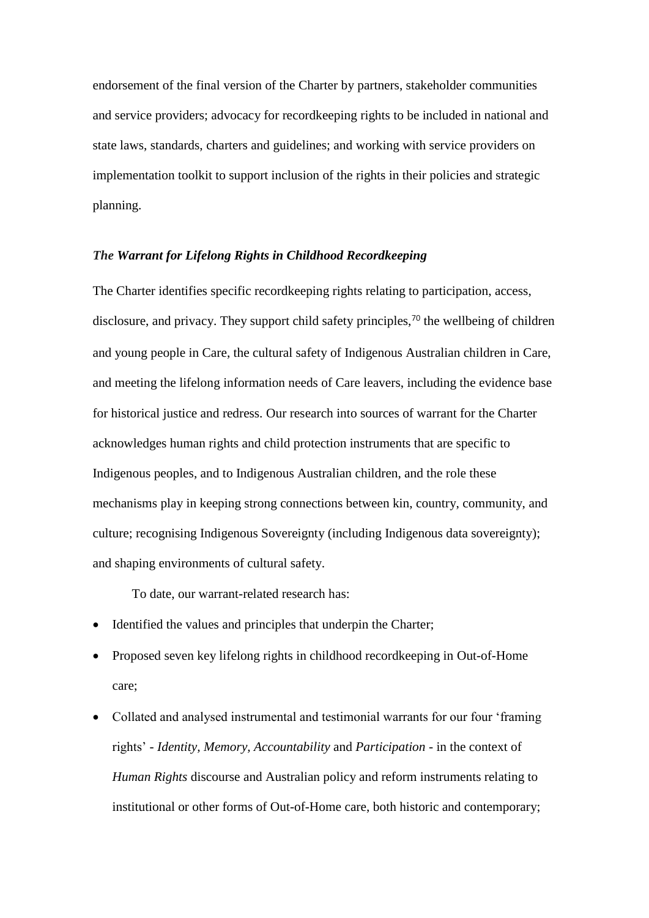endorsement of the final version of the Charter by partners, stakeholder communities and service providers; advocacy for recordkeeping rights to be included in national and state laws, standards, charters and guidelines; and working with service providers on implementation toolkit to support inclusion of the rights in their policies and strategic planning.

### *The Warrant for Lifelong Rights in Childhood Recordkeeping*

The Charter identifies specific recordkeeping rights relating to participation, access, disclosure, and privacy. They support child safety principles,<sup>70</sup> the wellbeing of children and young people in Care, the cultural safety of Indigenous Australian children in Care, and meeting the lifelong information needs of Care leavers, including the evidence base for historical justice and redress. Our research into sources of warrant for the Charter acknowledges human rights and child protection instruments that are specific to Indigenous peoples, and to Indigenous Australian children, and the role these mechanisms play in keeping strong connections between kin, country, community, and culture; recognising Indigenous Sovereignty (including Indigenous data sovereignty); and shaping environments of cultural safety.

To date, our warrant-related research has:

- Identified the values and principles that underpin the Charter;
- Proposed seven key lifelong rights in childhood recordkeeping in Out-of-Home care;
- Collated and analysed instrumental and testimonial warrants for our four 'framing rights' - *Identity, Memory, Accountability* and *Participation* - in the context of *Human Rights* discourse and Australian policy and reform instruments relating to institutional or other forms of Out-of-Home care, both historic and contemporary;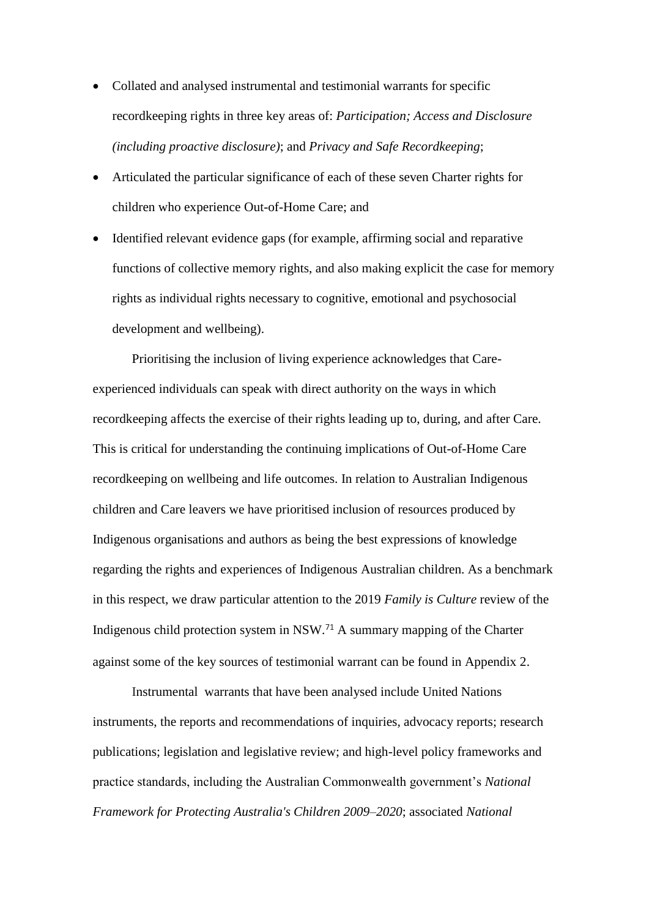- Collated and analysed instrumental and testimonial warrants for specific recordkeeping rights in three key areas of: *Participation; Access and Disclosure (including proactive disclosure)*; and *Privacy and Safe Recordkeeping*;
- Articulated the particular significance of each of these seven Charter rights for children who experience Out-of-Home Care; and
- Identified relevant evidence gaps (for example, affirming social and reparative functions of collective memory rights, and also making explicit the case for memory rights as individual rights necessary to cognitive, emotional and psychosocial development and wellbeing).

Prioritising the inclusion of living experience acknowledges that Careexperienced individuals can speak with direct authority on the ways in which recordkeeping affects the exercise of their rights leading up to, during, and after Care. This is critical for understanding the continuing implications of Out-of-Home Care recordkeeping on wellbeing and life outcomes. In relation to Australian Indigenous children and Care leavers we have prioritised inclusion of resources produced by Indigenous organisations and authors as being the best expressions of knowledge regarding the rights and experiences of Indigenous Australian children. As a benchmark in this respect, we draw particular attention to the 2019 *Family is Culture* review of the Indigenous child protection system in NSW.<sup>71</sup> A summary mapping of the Charter against some of the key sources of testimonial warrant can be found in Appendix 2.

Instrumental warrants that have been analysed include United Nations instruments, the reports and recommendations of inquiries, advocacy reports; research publications; legislation and legislative review; and high-level policy frameworks and practice standards, including the Australian Commonwealth government's *National Framework for Protecting Australia's Children 2009–2020*; associated *National*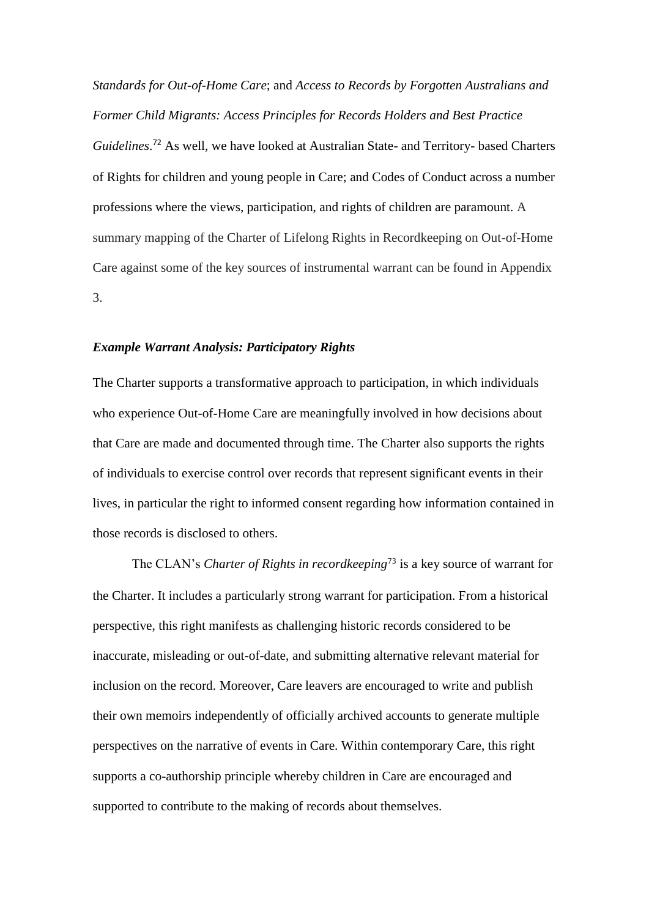*Standards for Out-of-Home Care*; and *Access to Records by Forgotten Australians and Former Child Migrants: Access Principles for Records Holders and Best Practice Guidelines*. <sup>72</sup> As well, we have looked at Australian State- and Territory- based Charters of Rights for children and young people in Care; and Codes of Conduct across a number professions where the views, participation, and rights of children are paramount. A summary mapping of the Charter of Lifelong Rights in Recordkeeping on Out-of-Home Care against some of the key sources of instrumental warrant can be found in Appendix 3.

# *Example Warrant Analysis: Participatory Rights*

The Charter supports a transformative approach to participation, in which individuals who experience Out-of-Home Care are meaningfully involved in how decisions about that Care are made and documented through time. The Charter also supports the rights of individuals to exercise control over records that represent significant events in their lives, in particular the right to informed consent regarding how information contained in those records is disclosed to others.

The CLAN's *Charter of Rights in recordkeeping*<sup>73</sup> is a key source of warrant for the Charter. It includes a particularly strong warrant for participation. From a historical perspective, this right manifests as challenging historic records considered to be inaccurate, misleading or out-of-date, and submitting alternative relevant material for inclusion on the record. Moreover, Care leavers are encouraged to write and publish their own memoirs independently of officially archived accounts to generate multiple perspectives on the narrative of events in Care. Within contemporary Care, this right supports a co-authorship principle whereby children in Care are encouraged and supported to contribute to the making of records about themselves.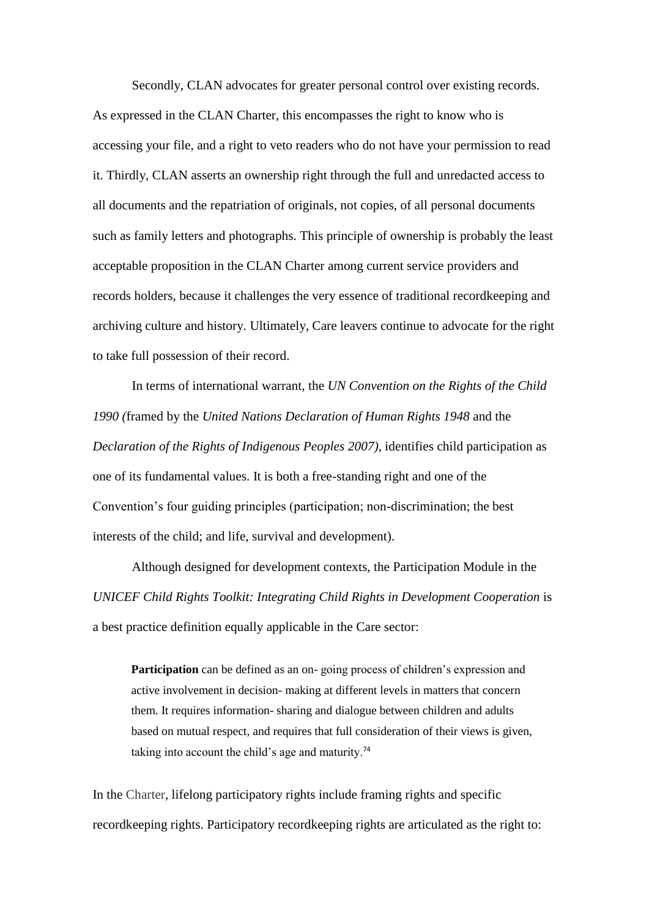Secondly, CLAN advocates for greater personal control over existing records. As expressed in the CLAN Charter, this encompasses the right to know who is accessing your file, and a right to veto readers who do not have your permission to read it. Thirdly, CLAN asserts an ownership right through the full and unredacted access to all documents and the repatriation of originals, not copies, of all personal documents such as family letters and photographs. This principle of ownership is probably the least acceptable proposition in the CLAN Charter among current service providers and records holders, because it challenges the very essence of traditional recordkeeping and archiving culture and history. Ultimately, Care leavers continue to advocate for the right to take full possession of their record.

In terms of international warrant, the *UN Convention on the Rights of the Child 1990 (*framed by the *United Nations Declaration of Human Rights 1948* and the *Declaration of the Rights of Indigenous Peoples 2007)*, identifies child participation as one of its fundamental values. It is both a free-standing right and one of the Convention's four guiding principles (participation; non-discrimination; the best interests of the child; and life, survival and development).

Although designed for development contexts, the Participation Module in the *UNICEF Child Rights Toolkit: Integrating Child Rights in Development Cooperation* is a best practice definition equally applicable in the Care sector:

**Participation** can be defined as an on-going process of children's expression and active involvement in decision- making at different levels in matters that concern them. It requires information- sharing and dialogue between children and adults based on mutual respect, and requires that full consideration of their views is given, taking into account the child's age and maturity.<sup>74</sup>

In the Charter, lifelong participatory rights include framing rights and specific recordkeeping rights. Participatory recordkeeping rights are articulated as the right to: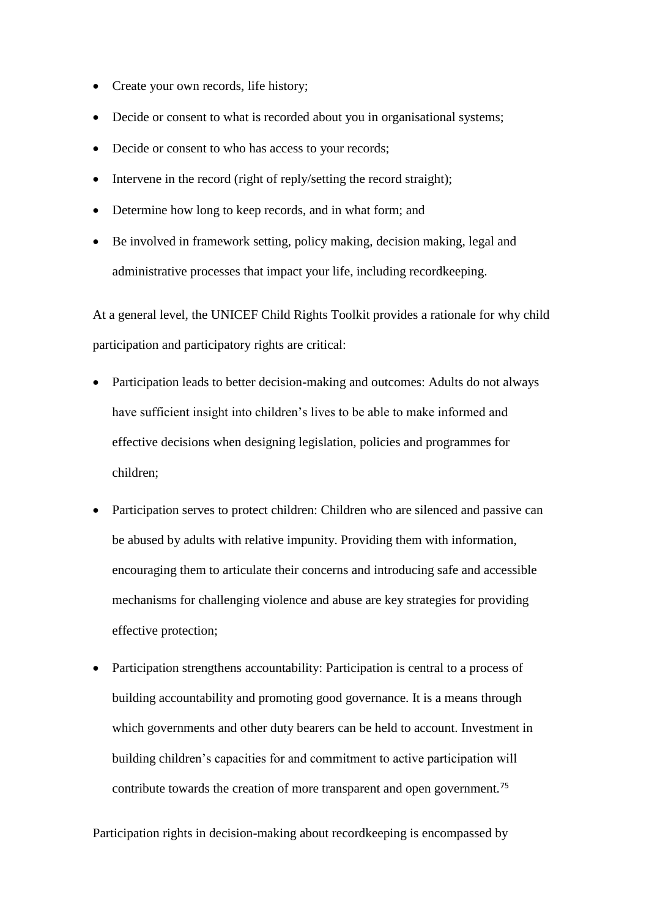- Create your own records, life history;
- Decide or consent to what is recorded about you in organisational systems;
- Decide or consent to who has access to your records;
- Intervene in the record (right of reply/setting the record straight);
- Determine how long to keep records, and in what form; and
- Be involved in framework setting, policy making, decision making, legal and administrative processes that impact your life, including recordkeeping.

At a general level, the UNICEF Child Rights Toolkit provides a rationale for why child participation and participatory rights are critical:

- Participation leads to better decision-making and outcomes: Adults do not always have sufficient insight into children's lives to be able to make informed and effective decisions when designing legislation, policies and programmes for children;
- Participation serves to protect children: Children who are silenced and passive can be abused by adults with relative impunity. Providing them with information, encouraging them to articulate their concerns and introducing safe and accessible mechanisms for challenging violence and abuse are key strategies for providing effective protection;
- Participation strengthens accountability: Participation is central to a process of building accountability and promoting good governance. It is a means through which governments and other duty bearers can be held to account. Investment in building children's capacities for and commitment to active participation will contribute towards the creation of more transparent and open government.<sup>75</sup>

Participation rights in decision-making about recordkeeping is encompassed by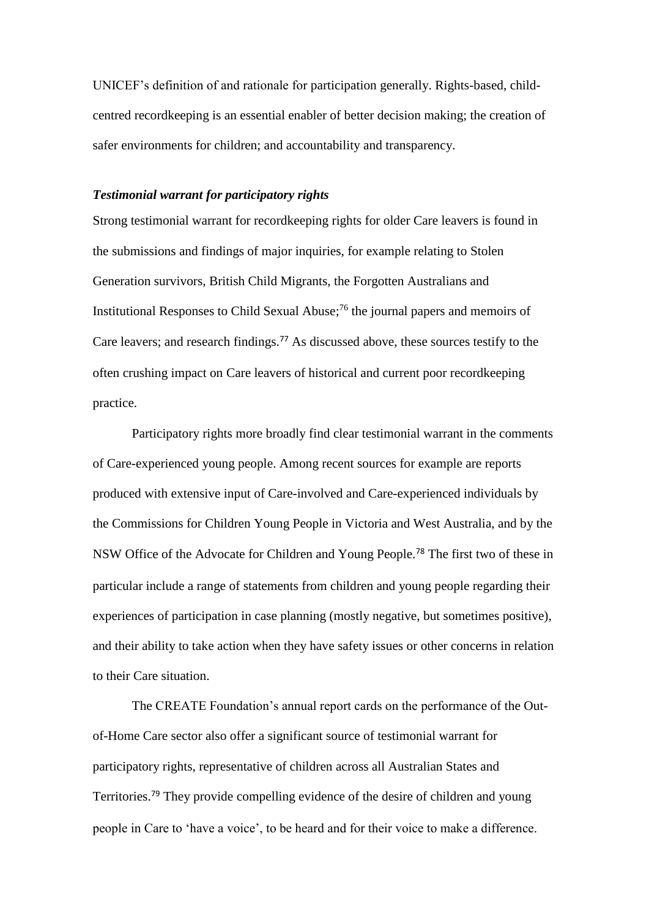UNICEF's definition of and rationale for participation generally. Rights-based, childcentred recordkeeping is an essential enabler of better decision making; the creation of safer environments for children; and accountability and transparency.

# *Testimonial warrant for participatory rights*

Strong testimonial warrant for recordkeeping rights for older Care leavers is found in the submissions and findings of major inquiries, for example relating to Stolen Generation survivors, British Child Migrants, the Forgotten Australians and Institutional Responses to Child Sexual Abuse; <sup>76</sup> the journal papers and memoirs of Care leavers; and research findings.<sup>77</sup> As discussed above, these sources testify to the often crushing impact on Care leavers of historical and current poor recordkeeping practice.

Participatory rights more broadly find clear testimonial warrant in the comments of Care-experienced young people. Among recent sources for example are reports produced with extensive input of Care-involved and Care-experienced individuals by the Commissions for Children Young People in Victoria and West Australia, and by the NSW Office of the Advocate for Children and Young People.<sup>78</sup> The first two of these in particular include a range of statements from children and young people regarding their experiences of participation in case planning (mostly negative, but sometimes positive), and their ability to take action when they have safety issues or other concerns in relation to their Care situation.

The CREATE Foundation's annual report cards on the performance of the Outof-Home Care sector also offer a significant source of testimonial warrant for participatory rights, representative of children across all Australian States and Territories.<sup>79</sup> They provide compelling evidence of the desire of children and young people in Care to 'have a voice', to be heard and for their voice to make a difference.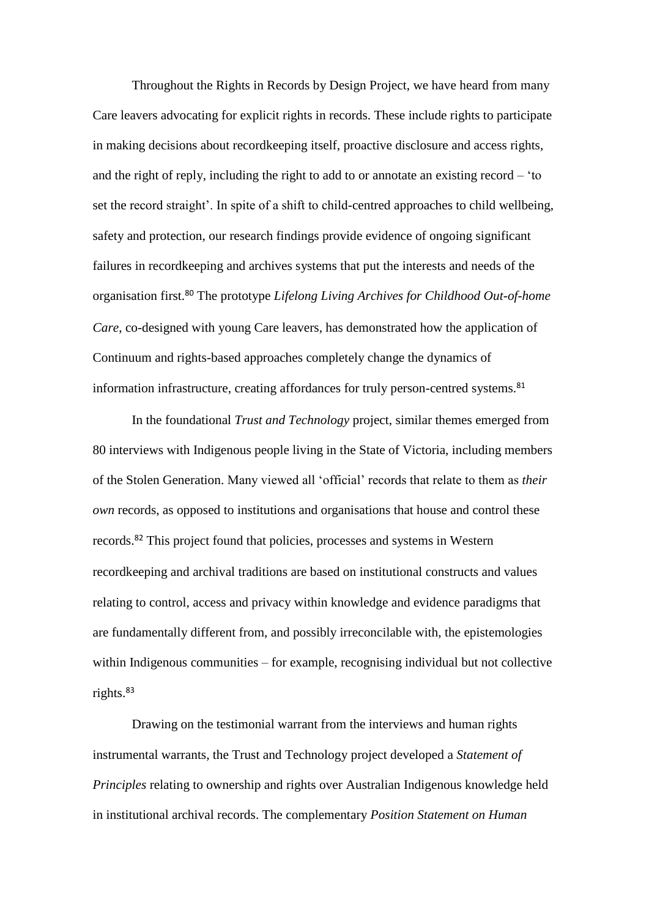Throughout the Rights in Records by Design Project, we have heard from many Care leavers advocating for explicit rights in records. These include rights to participate in making decisions about recordkeeping itself, proactive disclosure and access rights, and the right of reply, including the right to add to or annotate an existing record – 'to set the record straight'. In spite of a shift to child-centred approaches to child wellbeing, safety and protection, our research findings provide evidence of ongoing significant failures in recordkeeping and archives systems that put the interests and needs of the organisation first.<sup>80</sup> The prototype *Lifelong Living Archives for Childhood Out-of-home Care*, co-designed with young Care leavers, has demonstrated how the application of Continuum and rights-based approaches completely change the dynamics of information infrastructure, creating affordances for truly person-centred systems.<sup>81</sup>

In the foundational *Trust and Technology* project, similar themes emerged from 80 interviews with Indigenous people living in the State of Victoria, including members of the Stolen Generation. Many viewed all 'official' records that relate to them as *their own* records, as opposed to institutions and organisations that house and control these records.<sup>82</sup> This project found that policies, processes and systems in Western recordkeeping and archival traditions are based on institutional constructs and values relating to control, access and privacy within knowledge and evidence paradigms that are fundamentally different from, and possibly irreconcilable with, the epistemologies within Indigenous communities – for example, recognising individual but not collective rights. $83$ 

Drawing on the testimonial warrant from the interviews and human rights instrumental warrants, the Trust and Technology project developed a *Statement of Principles* relating to ownership and rights over Australian Indigenous knowledge held in institutional archival records. The complementary *Position Statement on Human*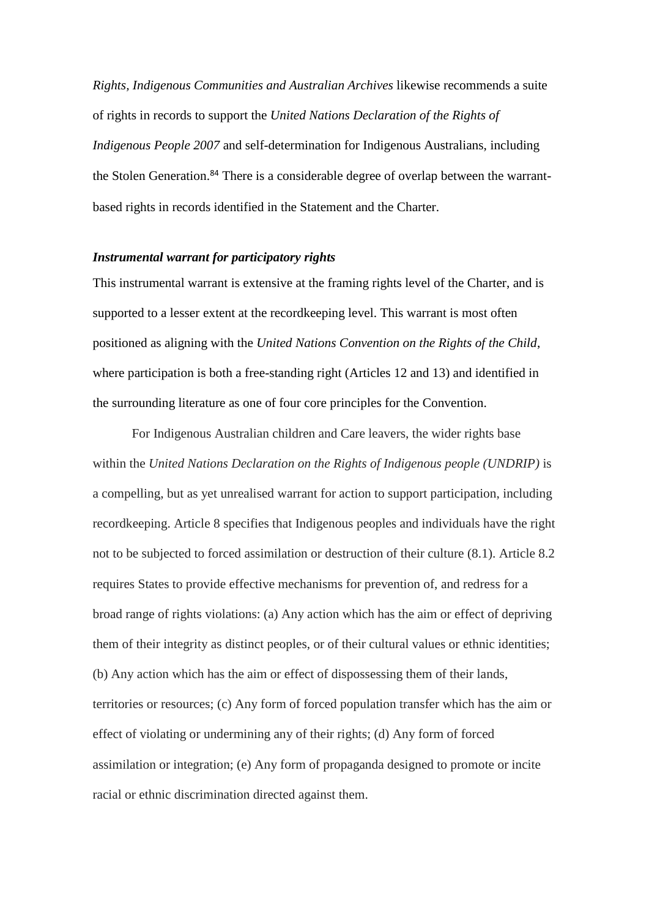*Rights, Indigenous Communities and Australian Archives* likewise recommends a suite of rights in records to support the *United Nations Declaration of the Rights of Indigenous People 2007* and self-determination for Indigenous Australians, including the Stolen Generation.<sup>84</sup> There is a considerable degree of overlap between the warrantbased rights in records identified in the Statement and the Charter.

# *Instrumental warrant for participatory rights*

This instrumental warrant is extensive at the framing rights level of the Charter, and is supported to a lesser extent at the recordkeeping level. This warrant is most often positioned as aligning with the *United Nations Convention on the Rights of the Child*, where participation is both a free-standing right (Articles 12 and 13) and identified in the surrounding literature as one of four core principles for the Convention.

For Indigenous Australian children and Care leavers, the wider rights base within the *United Nations Declaration on the Rights of Indigenous people (UNDRIP)* is a compelling, but as yet unrealised warrant for action to support participation, including recordkeeping. Article 8 specifies that Indigenous peoples and individuals have the right not to be subjected to forced assimilation or destruction of their culture (8.1). Article 8.2 requires States to provide effective mechanisms for prevention of, and redress for a broad range of rights violations: (a) Any action which has the aim or effect of depriving them of their integrity as distinct peoples, or of their cultural values or ethnic identities; (b) Any action which has the aim or effect of dispossessing them of their lands, territories or resources; (c) Any form of forced population transfer which has the aim or effect of violating or undermining any of their rights; (d) Any form of forced assimilation or integration; (e) Any form of propaganda designed to promote or incite racial or ethnic discrimination directed against them.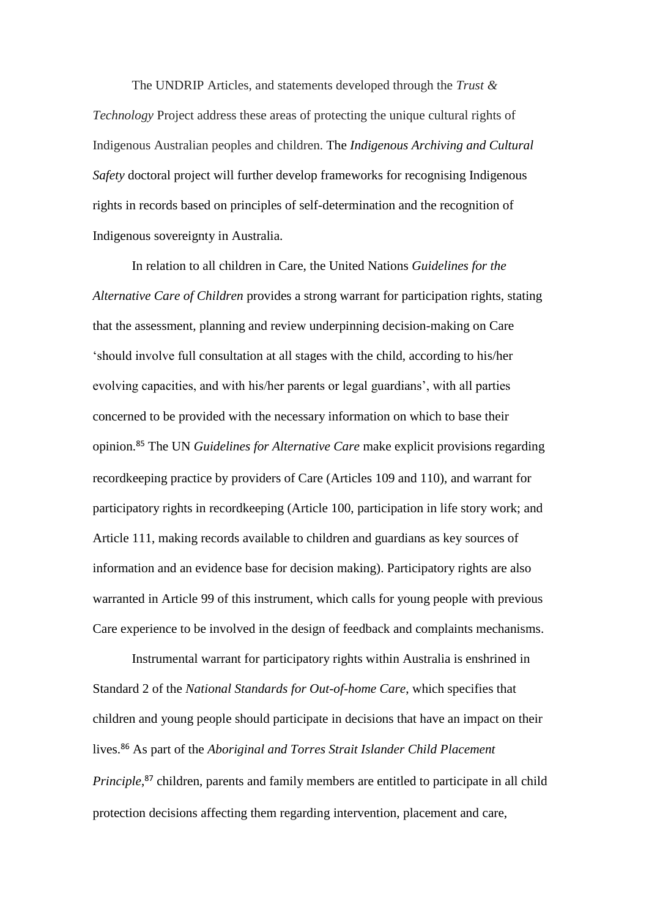The UNDRIP Articles, and statements developed through the *Trust & Technology* Project address these areas of protecting the unique cultural rights of Indigenous Australian peoples and children. The *Indigenous Archiving and Cultural Safety* doctoral project will further develop frameworks for recognising Indigenous rights in records based on principles of self-determination and the recognition of Indigenous sovereignty in Australia.

In relation to all children in Care, the United Nations *Guidelines for the Alternative Care of Children* provides a strong warrant for participation rights, stating that the assessment, planning and review underpinning decision-making on Care 'should involve full consultation at all stages with the child, according to his/her evolving capacities, and with his/her parents or legal guardians', with all parties concerned to be provided with the necessary information on which to base their opinion.<sup>85</sup> The UN *Guidelines for Alternative Care* make explicit provisions regarding recordkeeping practice by providers of Care (Articles 109 and 110), and warrant for participatory rights in recordkeeping (Article 100, participation in life story work; and Article 111, making records available to children and guardians as key sources of information and an evidence base for decision making). Participatory rights are also warranted in Article 99 of this instrument, which calls for young people with previous Care experience to be involved in the design of feedback and complaints mechanisms.

Instrumental warrant for participatory rights within Australia is enshrined in Standard 2 of the *National Standards for Out-of-home Care*, which specifies that children and young people should participate in decisions that have an impact on their lives.<sup>86</sup> As part of the *Aboriginal and Torres Strait Islander Child Placement*  Principle,<sup>87</sup> children, parents and family members are entitled to participate in all child protection decisions affecting them regarding intervention, placement and care,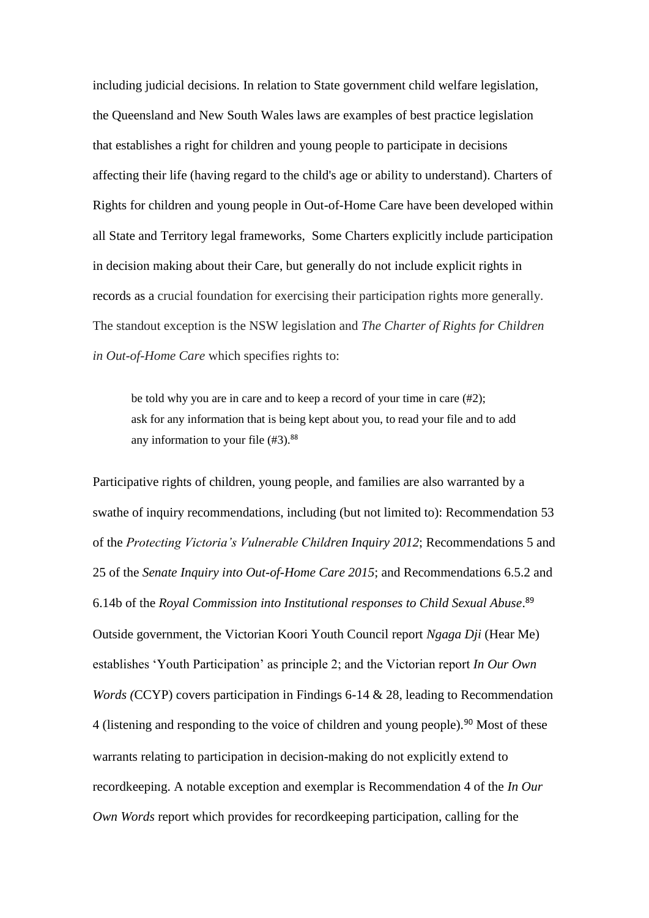including judicial decisions. In relation to State government child welfare legislation, the Queensland and New South Wales laws are examples of best practice legislation that establishes a right for children and young people to participate in decisions affecting their life (having regard to the child's age or ability to understand). Charters of Rights for children and young people in Out-of-Home Care have been developed within all State and Territory legal frameworks, Some Charters explicitly include participation in decision making about their Care, but generally do not include explicit rights in records as a crucial foundation for exercising their participation rights more generally. The standout exception is the NSW legislation and *The Charter of Rights for Children in Out-of-Home Care* which specifies rights to:

be told why you are in care and to keep a record of your time in care (#2); ask for any information that is being kept about you, to read your file and to add any information to your file  $(#3)$ .<sup>88</sup>

Participative rights of children, young people, and families are also warranted by a swathe of inquiry recommendations, including (but not limited to): Recommendation 53 of the *Protecting Victoria's Vulnerable Children Inquiry 2012*; Recommendations 5 and 25 of the *Senate Inquiry into Out-of-Home Care 2015*; and Recommendations 6.5.2 and 6.14b of the *Royal Commission into Institutional responses to Child Sexual Abuse*. 89 Outside government, the Victorian Koori Youth Council report *Ngaga Dji* (Hear Me) establishes 'Youth Participation' as principle 2; and the Victorian report *In Our Own Words (*CCYP) covers participation in Findings 6-14 & 28, leading to Recommendation 4 (listening and responding to the voice of children and young people).<sup>90</sup> Most of these warrants relating to participation in decision-making do not explicitly extend to recordkeeping. A notable exception and exemplar is Recommendation 4 of the *In Our Own Words* report which provides for recordkeeping participation, calling for the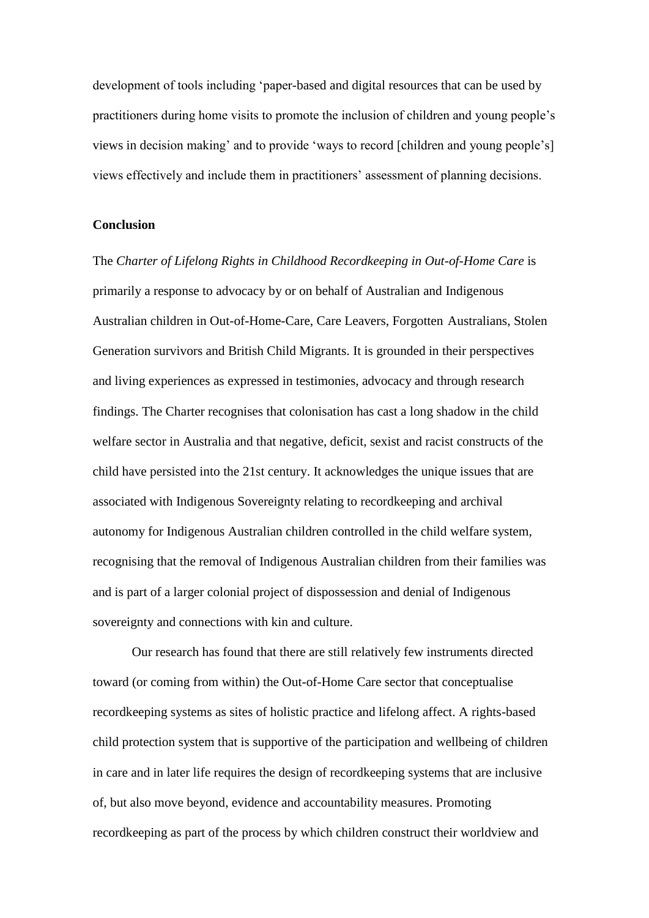development of tools including 'paper-based and digital resources that can be used by practitioners during home visits to promote the inclusion of children and young people's views in decision making' and to provide 'ways to record [children and young people's] views effectively and include them in practitioners' assessment of planning decisions.

# **Conclusion**

The *Charter of Lifelong Rights in Childhood Recordkeeping in Out-of-Home Care* is primarily a response to advocacy by or on behalf of Australian and Indigenous Australian children in Out-of-Home-Care, Care Leavers, Forgotten Australians, Stolen Generation survivors and British Child Migrants. It is grounded in their perspectives and living experiences as expressed in testimonies, advocacy and through research findings. The Charter recognises that colonisation has cast a long shadow in the child welfare sector in Australia and that negative, deficit, sexist and racist constructs of the child have persisted into the 21st century. It acknowledges the unique issues that are associated with Indigenous Sovereignty relating to recordkeeping and archival autonomy for Indigenous Australian children controlled in the child welfare system, recognising that the removal of Indigenous Australian children from their families was and is part of a larger colonial project of dispossession and denial of Indigenous sovereignty and connections with kin and culture.

Our research has found that there are still relatively few instruments directed toward (or coming from within) the Out-of-Home Care sector that conceptualise recordkeeping systems as sites of holistic practice and lifelong affect. A rights-based child protection system that is supportive of the participation and wellbeing of children in care and in later life requires the design of recordkeeping systems that are inclusive of, but also move beyond, evidence and accountability measures. Promoting recordkeeping as part of the process by which children construct their worldview and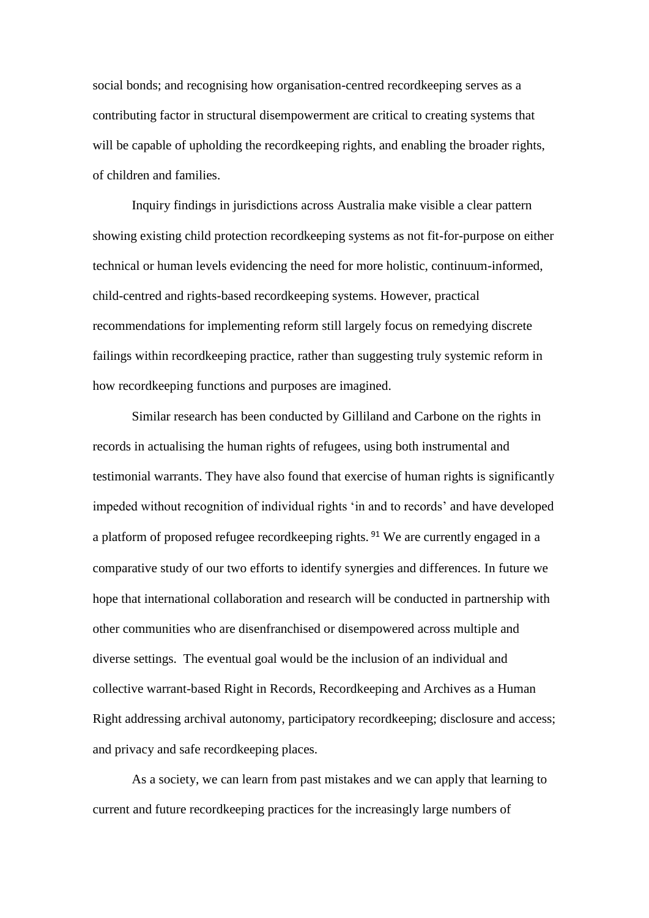social bonds; and recognising how organisation-centred recordkeeping serves as a contributing factor in structural disempowerment are critical to creating systems that will be capable of upholding the recordkeeping rights, and enabling the broader rights, of children and families.

Inquiry findings in jurisdictions across Australia make visible a clear pattern showing existing child protection recordkeeping systems as not fit-for-purpose on either technical or human levels evidencing the need for more holistic, continuum-informed, child-centred and rights-based recordkeeping systems. However, practical recommendations for implementing reform still largely focus on remedying discrete failings within recordkeeping practice, rather than suggesting truly systemic reform in how recordkeeping functions and purposes are imagined.

Similar research has been conducted by Gilliland and Carbone on the rights in records in actualising the human rights of refugees, using both instrumental and testimonial warrants. They have also found that exercise of human rights is significantly impeded without recognition of individual rights 'in and to records' and have developed a platform of proposed refugee recordkeeping rights.<sup>91</sup> We are currently engaged in a comparative study of our two efforts to identify synergies and differences. In future we hope that international collaboration and research will be conducted in partnership with other communities who are disenfranchised or disempowered across multiple and diverse settings. The eventual goal would be the inclusion of an individual and collective warrant-based Right in Records, Recordkeeping and Archives as a Human Right addressing archival autonomy, participatory recordkeeping; disclosure and access; and privacy and safe recordkeeping places.

As a society, we can learn from past mistakes and we can apply that learning to current and future recordkeeping practices for the increasingly large numbers of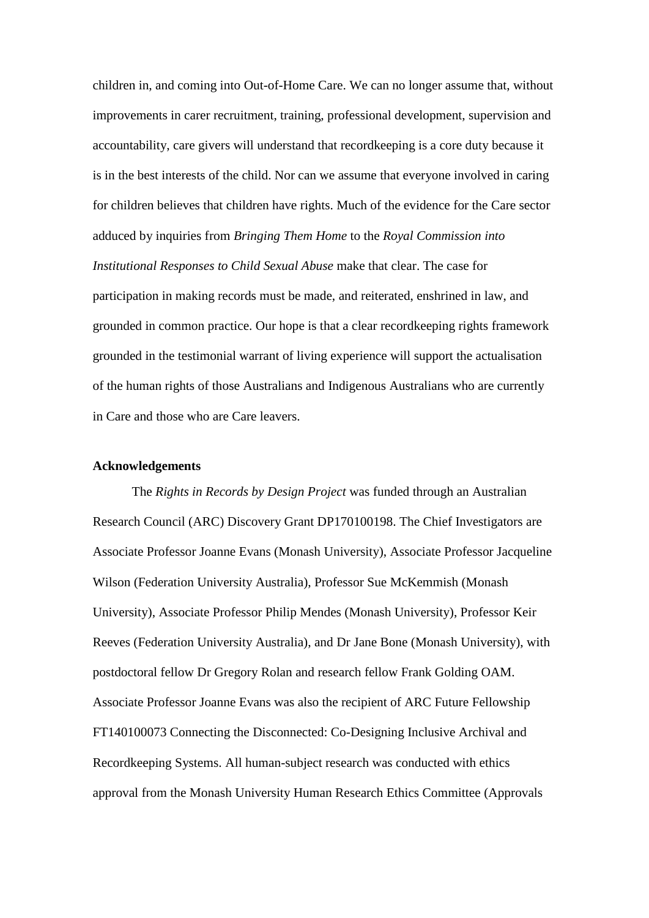children in, and coming into Out-of-Home Care. We can no longer assume that, without improvements in carer recruitment, training, professional development, supervision and accountability, care givers will understand that recordkeeping is a core duty because it is in the best interests of the child. Nor can we assume that everyone involved in caring for children believes that children have rights. Much of the evidence for the Care sector adduced by inquiries from *Bringing Them Home* to the *Royal Commission into Institutional Responses to Child Sexual Abuse* make that clear. The case for participation in making records must be made, and reiterated, enshrined in law, and grounded in common practice. Our hope is that a clear recordkeeping rights framework grounded in the testimonial warrant of living experience will support the actualisation of the human rights of those Australians and Indigenous Australians who are currently in Care and those who are Care leavers.

#### **Acknowledgements**

The *Rights in Records by Design Project* was funded through an Australian Research Council (ARC) Discovery Grant DP170100198. The Chief Investigators are Associate Professor Joanne Evans (Monash University), Associate Professor Jacqueline Wilson (Federation University Australia), Professor Sue McKemmish (Monash University), Associate Professor Philip Mendes (Monash University), Professor Keir Reeves (Federation University Australia), and Dr Jane Bone (Monash University), with postdoctoral fellow Dr Gregory Rolan and research fellow Frank Golding OAM. Associate Professor Joanne Evans was also the recipient of ARC Future Fellowship FT140100073 Connecting the Disconnected: Co-Designing Inclusive Archival and Recordkeeping Systems. All human-subject research was conducted with ethics approval from the Monash University Human Research Ethics Committee (Approvals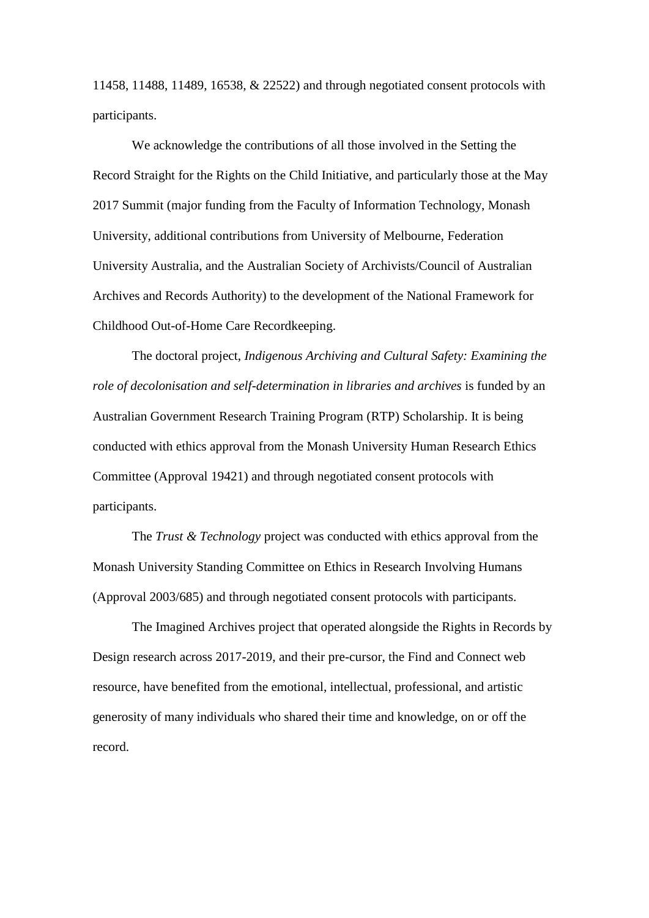11458, 11488, 11489, 16538, & 22522) and through negotiated consent protocols with participants.

We acknowledge the contributions of all those involved in the Setting the Record Straight for the Rights on the Child Initiative, and particularly those at the May 2017 Summit (major funding from the Faculty of Information Technology, Monash University, additional contributions from University of Melbourne, Federation University Australia, and the Australian Society of Archivists/Council of Australian Archives and Records Authority) to the development of the National Framework for Childhood Out-of-Home Care Recordkeeping.

The doctoral project, *Indigenous Archiving and Cultural Safety: Examining the role of decolonisation and self-determination in libraries and archives* is funded by an Australian Government Research Training Program (RTP) Scholarship. It is being conducted with ethics approval from the Monash University Human Research Ethics Committee (Approval 19421) and through negotiated consent protocols with participants.

The *Trust & Technology* project was conducted with ethics approval from the Monash University Standing Committee on Ethics in Research Involving Humans (Approval 2003/685) and through negotiated consent protocols with participants.

The Imagined Archives project that operated alongside the Rights in Records by Design research across 2017-2019, and their pre-cursor, the Find and Connect web resource, have benefited from the emotional, intellectual, professional, and artistic generosity of many individuals who shared their time and knowledge, on or off the record.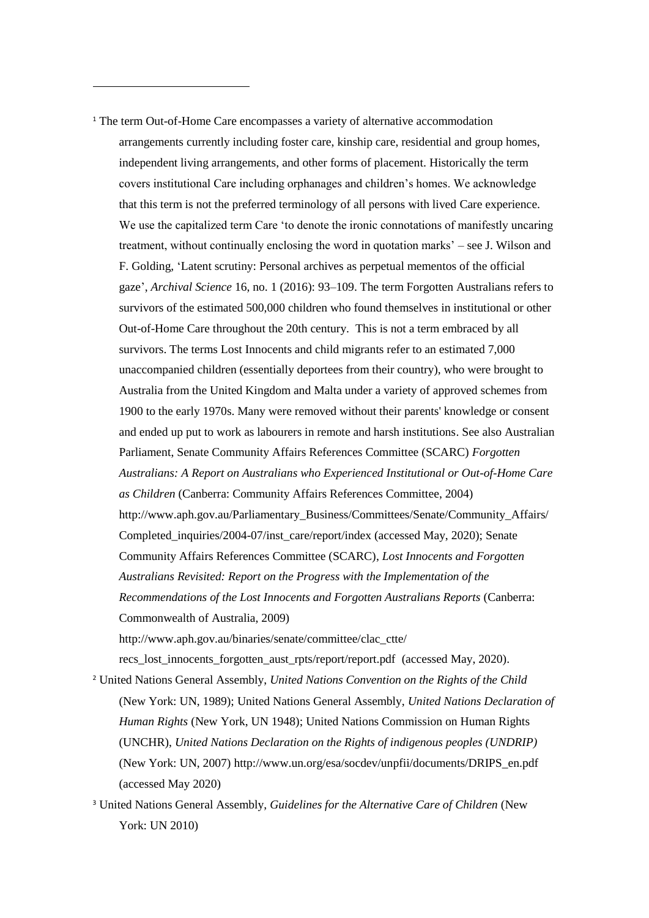<sup>1</sup> The term Out-of-Home Care encompasses a variety of alternative accommodation arrangements currently including foster care, kinship care, residential and group homes, independent living arrangements, and other forms of placement. Historically the term covers institutional Care including orphanages and children's homes. We acknowledge that this term is not the preferred terminology of all persons with lived Care experience. We use the capitalized term Care 'to denote the ironic connotations of manifestly uncaring treatment, without continually enclosing the word in quotation marks' – see J. Wilson and F. Golding, 'Latent scrutiny: Personal archives as perpetual mementos of the official gaze', *Archival Science* 16, no. 1 (2016): 93–109. The term Forgotten Australians refers to survivors of the estimated 500,000 children who found themselves in institutional or other Out-of-Home Care throughout the 20th century. This is not a term embraced by all survivors. The terms Lost Innocents and child migrants refer to an estimated 7,000 unaccompanied children (essentially deportees from their country), who were brought to Australia from the United Kingdom and Malta under a variety of approved schemes from 1900 to the early 1970s. Many were removed without their parents' knowledge or consent and ended up put to work as labourers in remote and harsh institutions. See also Australian Parliament, Senate Community Affairs References Committee (SCARC) *Forgotten Australians: A Report on Australians who Experienced Institutional or Out-of-Home Care as Children* (Canberra: Community Affairs References Committee, 2004) [http://www.aph.gov.au/Parliamentary\\_Business/Committees/Senate/Community\\_Affairs/](http://www.aph.gov.au/Parliamentary_Business/Committees/Senate/Community_Affairs/Completed_inquiries/2004-07/inst_care/report/index) [Completed\\_inquiries/2004-07/inst\\_care/report/index](http://www.aph.gov.au/Parliamentary_Business/Committees/Senate/Community_Affairs/Completed_inquiries/2004-07/inst_care/report/index) (accessed May, 2020); Senate Community Affairs References Committee (SCARC), *Lost Innocents and Forgotten Australians Revisited: Report on the Progress with the Implementation of the Recommendations of the Lost Innocents and Forgotten Australians Reports* (Canberra: Commonwealth of Australia, 2009) http://www.aph.gov.au/binaries/senate/committee/clac\_ctte/ recs\_lost\_innocents\_forgotten\_aust\_rpts/report/report.pdf (accessed May, 2020).

-

<sup>2</sup> United Nations General Assembly, *United Nations Convention on the Rights of the Child* (New York: UN, 1989); United Nations General Assembly, *United Nations Declaration of Human Rights* (New York, UN 1948); United Nations Commission on Human Rights (UNCHR), *United Nations Declaration on the Rights of indigenous peoples (UNDRIP)* (New York: UN, 2007) [http://www.un.org/esa/socdev/unpfii/documents/DRIPS\\_en.pdf](http://www.un.org/esa/socdev/unpfii/documents/DRIPS_en.pdf) (accessed May 2020)

<sup>3</sup> United Nations General Assembly, *Guidelines for the Alternative Care of Children* (New York: UN 2010)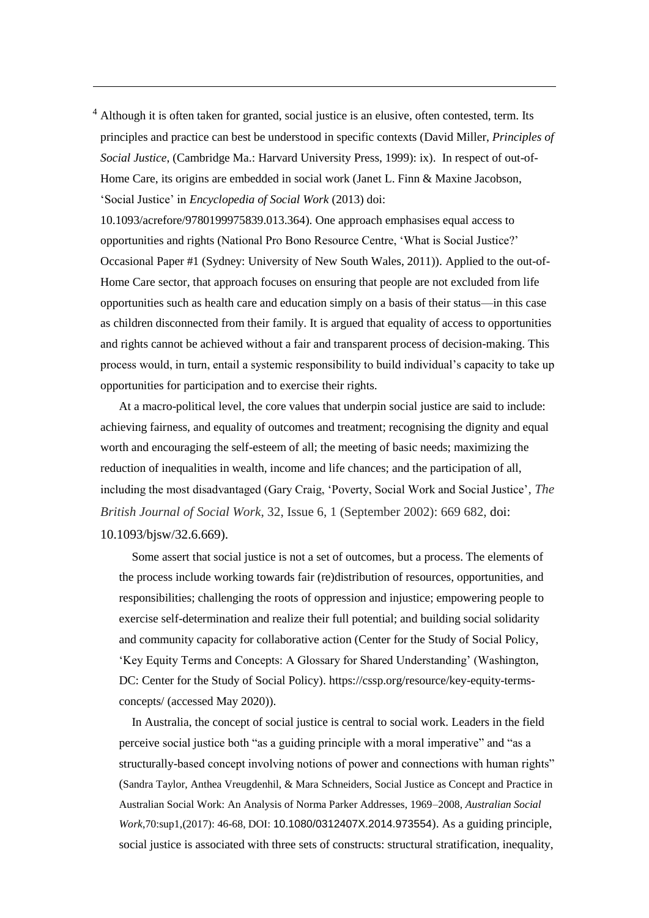$<sup>4</sup>$  Although it is often taken for granted, social justice is an elusive, often contested, term. Its</sup> principles and practice can best be understood in specific contexts (David Miller, *Principles of Social Justice*, (Cambridge Ma.: Harvard University Press, 1999): ix). In respect of out-of-Home Care, its origins are embedded in social work (Janet L. Finn & Maxine Jacobson, 'Social Justice' in *Encyclopedia of Social Work* (2013) doi:

-

10.1093/acrefore/9780199975839.013.364). One approach emphasises equal access to opportunities and rights (National Pro Bono Resource Centre, 'What is Social Justice?' Occasional Paper #1 (Sydney: University of New South Wales, 2011)). Applied to the out-of-Home Care sector, that approach focuses on ensuring that people are not excluded from life opportunities such as health care and education simply on a basis of their status—in this case as children disconnected from their family. It is argued that equality of access to opportunities and rights cannot be achieved without a fair and transparent process of decision-making. This process would, in turn, entail a systemic responsibility to build individual's capacity to take up opportunities for participation and to exercise their rights.

At a macro-political level, the core values that underpin social justice are said to include: achieving fairness, and equality of outcomes and treatment; recognising the dignity and equal worth and encouraging the self-esteem of all; the meeting of basic needs; maximizing the reduction of inequalities in wealth, income and life chances; and the participation of all, including the most disadvantaged (Gary Craig, 'Poverty, Social Work and Social Justice', *The British Journal of Social Work*, 32, Issue 6, 1 (September 2002): 669 682, doi: 10.1093/bjsw/32.6.669).

Some assert that social justice is not a set of outcomes, but a process. The elements of the process include working towards fair (re)distribution of resources, opportunities, and responsibilities; challenging the roots of oppression and injustice; empowering people to exercise self-determination and realize their full potential; and building social solidarity and community capacity for collaborative action (Center for the Study of Social Policy, 'Key Equity Terms and Concepts: A Glossary for Shared Understanding' (Washington, DC: Center for the Study of Social Policy). [https://cssp.org/resource/key-equity-terms](https://cssp.org/resource/key-equity-terms-concepts/)[concepts/](https://cssp.org/resource/key-equity-terms-concepts/) (accessed May 2020)).

In Australia, the concept of social justice is central to social work. Leaders in the field perceive social justice both "as a guiding principle with a moral imperative" and "as a structurally-based concept involving notions of power and connections with human rights" (Sandra Taylor, Anthea Vreugdenhil, & Mara Schneiders, Social Justice as Concept and Practice in Australian Social Work: An Analysis of Norma Parker Addresses, 1969–2008, *Australian Social Work*,70:sup1,(2017): 46-68, DOI: [10.1080/0312407X.2014.973554](https://doi.org/10.1080/0312407X.2014.973554)). As a guiding principle, social justice is associated with three sets of constructs: structural stratification, inequality,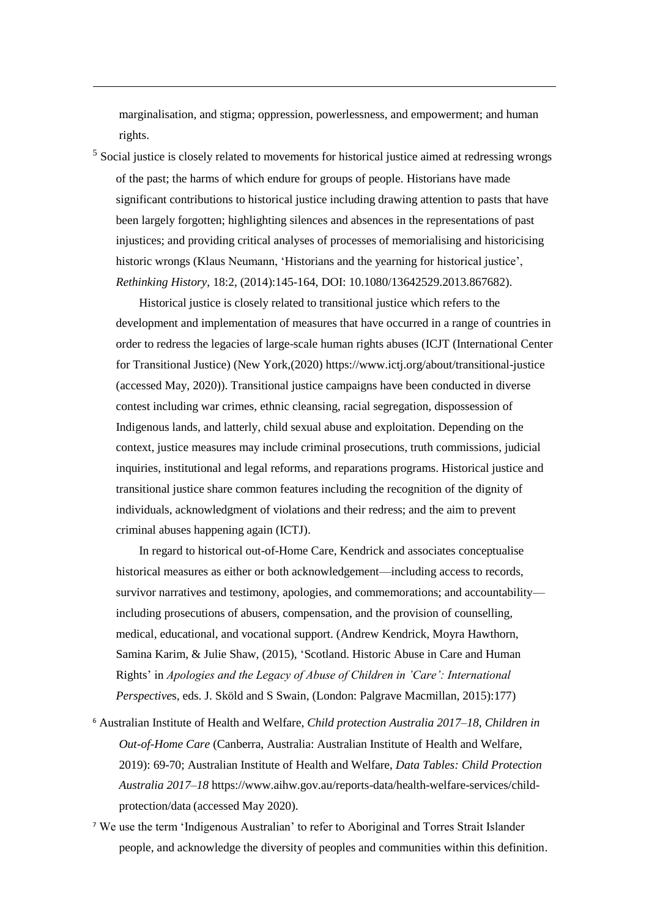marginalisation, and stigma; oppression, powerlessness, and empowerment; and human rights.

-

<sup>5</sup> Social justice is closely related to movements for historical justice aimed at redressing wrongs of the past; the harms of which endure for groups of people. Historians have made significant contributions to historical justice including drawing attention to pasts that have been largely forgotten; highlighting silences and absences in the representations of past injustices; and providing critical analyses of processes of memorialising and historicising historic wrongs (Klaus Neumann, 'Historians and the yearning for historical justice', *Rethinking History*, 18:2, (2014):145-164, DOI: [10.1080/13642529.2013.867682\)](https://doi.org/10.1080/13642529.2013.867682).

Historical justice is closely related to transitional justice which refers to the development and implementation of measures that have occurred in a range of countries in order to redress the legacies of large-scale human rights abuses (ICJT (International Center for Transitional Justice) (New York,(2020) https://www.ictj.org/about/transitional-justice (accessed May, 2020)). Transitional justice campaigns have been conducted in diverse contest including war crimes, ethnic cleansing, racial segregation, dispossession of Indigenous lands, and latterly, child sexual abuse and exploitation. Depending on the context, justice measures may include criminal prosecutions, truth commissions, judicial inquiries, institutional and legal reforms, and reparations programs. Historical justice and transitional justice share common features including the recognition of the dignity of individuals, acknowledgment of violations and their redress; and the aim to prevent criminal abuses happening again (ICTJ).

In regard to historical out-of-Home Care, Kendrick and associates conceptualise historical measures as either or both acknowledgement—including access to records, survivor narratives and testimony, apologies, and commemorations; and accountability including prosecutions of abusers, compensation, and the provision of counselling, medical, educational, and vocational support. (Andrew Kendrick, Moyra Hawthorn, Samina Karim, & Julie Shaw, (2015), 'Scotland. Historic Abuse in Care and Human Rights' in *Apologies and the Legacy of Abuse of Children in 'Care': International Perspective*s, eds. J. Sköld and S Swain, (London: Palgrave Macmillan, 2015):177)

- <sup>6</sup> Australian Institute of Health and Welfare, *Child protection Australia 2017–18, Children in Out-of-Home Care* (Canberra, Australia: Australian Institute of Health and Welfare, 2019): 69-70; Australian Institute of Health and Welfare, *Data Tables: Child Protection Australia 2017–18* https://www.aihw.gov.au/reports-data/health-welfare-services/childprotection/data (accessed May 2020).
- <sup>7</sup> We use the term 'Indigenous Australian' to refer to Aboriginal and Torres Strait Islander people, and acknowledge the diversity of peoples and communities within this definition.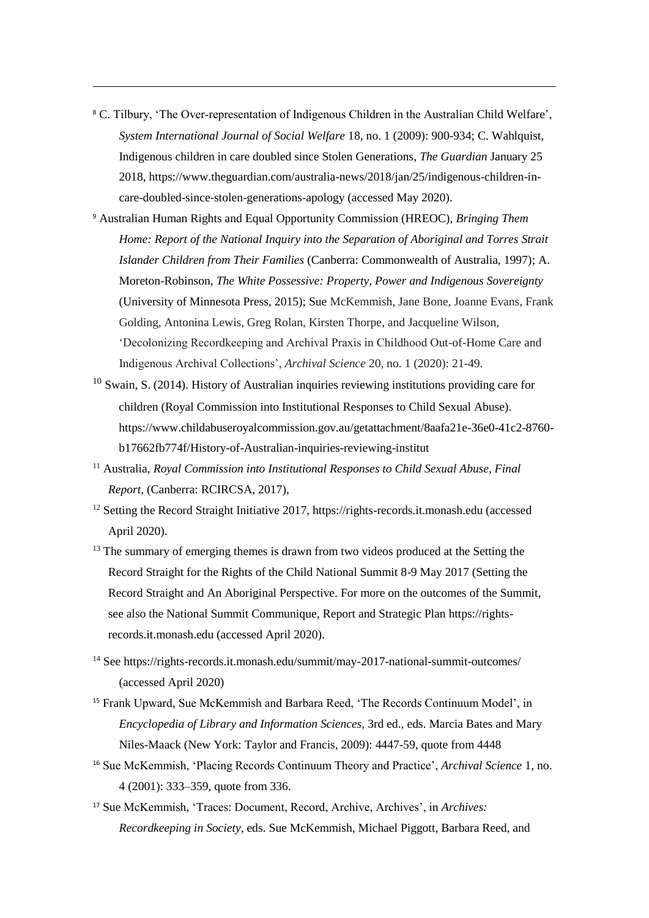<sup>8</sup> C. Tilbury, 'The Over-representation of Indigenous Children in the Australian Child Welfare', *System International Journal of Social Welfare* 18, no. 1 (2009): 900-934; C. Wahlquist, Indigenous children in care doubled since Stolen Generations, *The Guardian* January 25 2018[, https://www.theguardian.com/australia-news/2018/jan/25/indigenous-children-in](https://www.theguardian.com/australia-news/2018/jan/25/indigenous-children-in-care-doubled-since-stolen-generations-apology)[care-doubled-since-stolen-generations-apology](https://www.theguardian.com/australia-news/2018/jan/25/indigenous-children-in-care-doubled-since-stolen-generations-apology) (accessed May 2020).

- <sup>9</sup> Australian Human Rights and Equal Opportunity Commission (HREOC), *Bringing Them Home: Report of the National Inquiry into the Separation of Aboriginal and Torres Strait Islander Children from Their Families* (Canberra: Commonwealth of Australia, 1997); A. Moreton-Robinson, *The White Possessive: Property, Power and Indigenous Sovereignty* (University of Minnesota Press, 2015); Sue McKemmish, Jane Bone, Joanne Evans, Frank Golding, Antonina Lewis, Greg Rolan, Kirsten Thorpe, and Jacqueline Wilson, 'Decolonizing Recordkeeping and Archival Praxis in Childhood Out-of-Home Care and Indigenous Archival Collections', *Archival Science* 20, no. 1 (2020): 21-49.
- <sup>10</sup> Swain, S. (2014). History of Australian inquiries reviewing institutions providing care for children (Royal Commission into Institutional Responses to Child Sexual Abuse). [https://www.childabuseroyalcommission.gov.au/getattachment/8aafa21e-36e0-41c2-8760](https://www.childabuseroyalcommission.gov.au/getattachment/8aafa21e-36e0-41c2-8760-b17662fb774f/History-of-Australian-inquiries-reviewing-institut) [b17662fb774f/History-of-Australian-inquiries-reviewing-institut](https://www.childabuseroyalcommission.gov.au/getattachment/8aafa21e-36e0-41c2-8760-b17662fb774f/History-of-Australian-inquiries-reviewing-institut)
- <sup>11</sup> Australia, *Royal Commission into Institutional Responses to Child Sexual Abuse, Final Report*, (Canberra: RCIRCSA, 2017),
- <sup>12</sup> Setting the Record Straight Initiative 2017, https://rights-records.it.monash.edu (accessed April 2020).
- <sup>13</sup> The summary of emerging themes is drawn from two videos produced at the Setting the Record Straight for the Rights of the Child National Summit 8-9 May 2017 (Setting the Record Straight and An Aboriginal Perspective. For more on the outcomes of the Summit, see also the National Summit Communique, Report and Strategic Plan https://rightsrecords.it.monash.edu (accessed April 2020).
- <sup>14</sup> See https://rights-records.it.monash.edu/summit/may-2017-national-summit-outcomes/ (accessed April 2020)
- <sup>15</sup> Frank Upward, Sue McKemmish and Barbara Reed, 'The Records Continuum Model', in *Encyclopedia of Library and Information Sciences*, 3rd ed., eds. Marcia Bates and Mary Niles-Maack (New York: Taylor and Francis, 2009): 4447-59, quote from 4448
- <sup>16</sup> Sue McKemmish, 'Placing Records Continuum Theory and Practice', *Archival Science* 1, no. 4 (2001): 333–359, quote from 336.
- <sup>17</sup> Sue McKemmish, 'Traces: Document, Record, Archive, Archives', in *Archives: Recordkeeping in Society*, eds. Sue McKemmish, Michael Piggott, Barbara Reed, and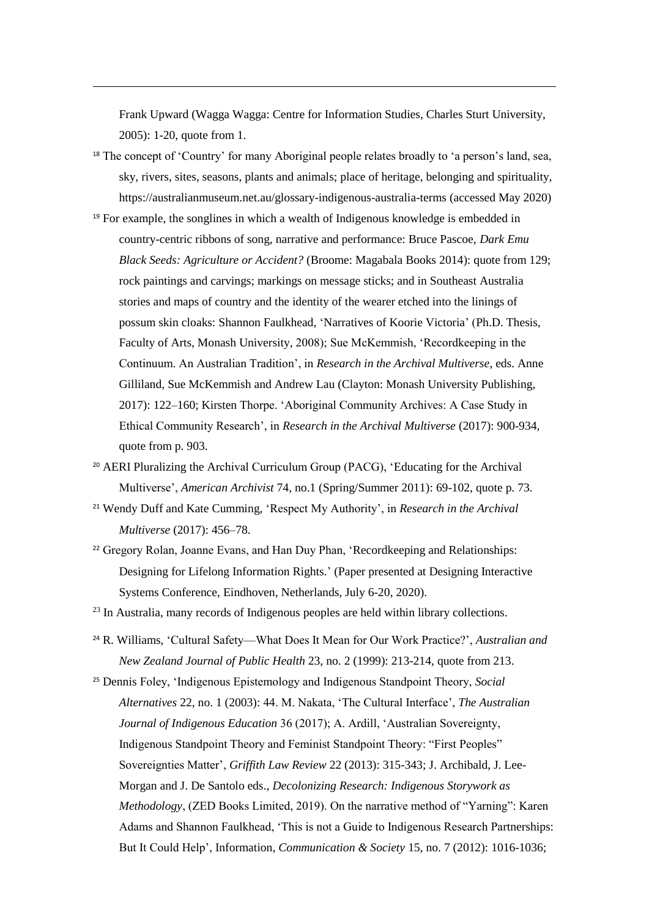Frank Upward (Wagga Wagga: Centre for Information Studies, Charles Sturt University, 2005): 1-20, quote from 1.

- <sup>18</sup> The concept of 'Country' for many Aboriginal people relates broadly to 'a person's land, sea, sky, rivers, sites, seasons, plants and animals; place of heritage, belonging and spirituality, <https://australianmuseum.net.au/glossary-indigenous-australia-terms> (accessed May 2020)
- <sup>19</sup> For example, the songlines in which a wealth of Indigenous knowledge is embedded in country-centric ribbons of song, narrative and performance: Bruce Pascoe, *Dark Emu Black Seeds: Agriculture or Accident?* (Broome: Magabala Books 2014): quote from 129; rock paintings and carvings; markings on message sticks; and in Southeast Australia stories and maps of country and the identity of the wearer etched into the linings of possum skin cloaks: Shannon Faulkhead, 'Narratives of Koorie Victoria' (Ph.D. Thesis, Faculty of Arts, Monash University, 2008); Sue McKemmish, 'Recordkeeping in the Continuum. An Australian Tradition', in *Research in the Archival Multiverse*, eds. Anne Gilliland, Sue McKemmish and Andrew Lau (Clayton: Monash University Publishing, 2017): 122–160; Kirsten Thorpe. 'Aboriginal Community Archives: A Case Study in Ethical Community Research', in *Research in the Archival Multiverse* (2017): 900-934, quote from p. 903.
- <sup>20</sup> AERI Pluralizing the Archival Curriculum Group (PACG), 'Educating for the Archival Multiverse', *American Archivist* 74, no.1 (Spring/Summer 2011): 69-102, quote p. 73.
- <sup>21</sup> Wendy Duff and Kate Cumming, 'Respect My Authority', in *Research in the Archival Multiverse* (2017): 456–78.
- <sup>22</sup> Gregory Rolan, Joanne Evans, and Han Duy Phan, 'Recordkeeping and Relationships: Designing for Lifelong Information Rights.' (Paper presented at Designing Interactive Systems Conference, Eindhoven, Netherlands, July 6-20, 2020).
- <sup>23</sup> In Australia, many records of Indigenous peoples are held within library collections.
- <sup>24</sup> R. Williams, 'Cultural Safety—What Does It Mean for Our Work Practice?', *Australian and New Zealand Journal of Public Health* 23, no. 2 (1999): 213-214, quote from 213.
- <sup>25</sup> Dennis Foley, 'Indigenous Epistemology and Indigenous Standpoint Theory, *Social Alternatives* 22, no. 1 (2003): 44. M. Nakata, 'The Cultural Interface', *The Australian Journal of Indigenous Education* 36 (2017); A. Ardill, 'Australian Sovereignty, Indigenous Standpoint Theory and Feminist Standpoint Theory: "First Peoples" Sovereignties Matter', *Griffith Law Review* 22 (2013): 315-343; J. Archibald, J. Lee-Morgan and J. De Santolo eds., *Decolonizing Research: Indigenous Storywork as Methodology*, (ZED Books Limited, 2019). On the narrative method of "Yarning": Karen Adams and Shannon Faulkhead, 'This is not a Guide to Indigenous Research Partnerships: But It Could Help', Information, *Communication & Society* 15, no. 7 (2012): 1016-1036;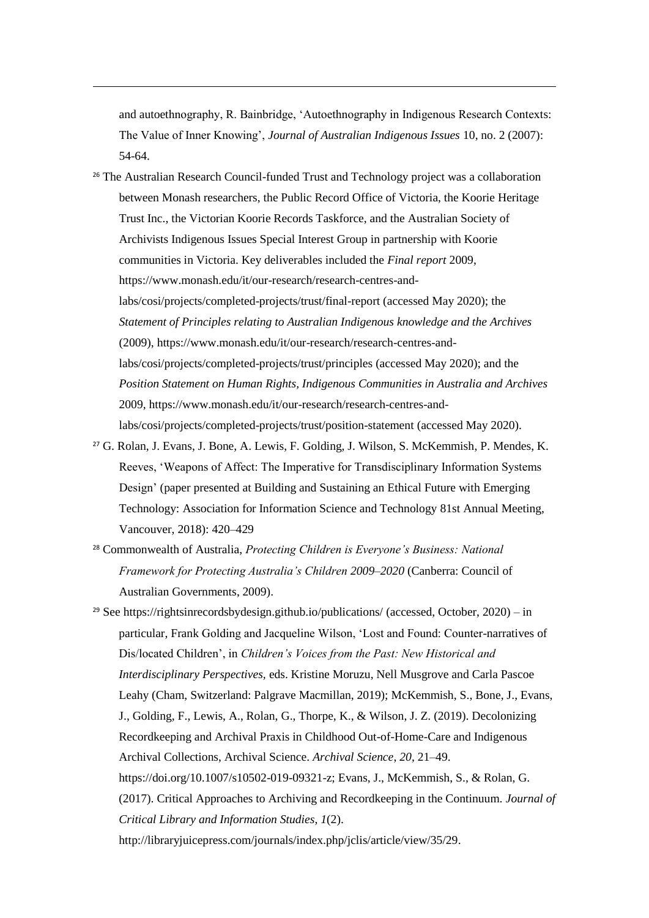and autoethnography, R. Bainbridge, 'Autoethnography in Indigenous Research Contexts: The Value of Inner Knowing', *Journal of Australian Indigenous Issues* 10, no. 2 (2007): 54-64.

- <sup>26</sup> The Australian Research Council-funded Trust and Technology project was a collaboration between Monash researchers, the Public Record Office of Victoria, the Koorie Heritage Trust Inc., the Victorian Koorie Records Taskforce, and the Australian Society of Archivists Indigenous Issues Special Interest Group in partnership with Koorie communities in Victoria. Key deliverables included the *Final report* 2009, [https://www.monash.edu/it/our-research/research-centres-and](https://www.monash.edu/it/our-research/research-centres-and-labs/cosi/projects/completed-projects/trust/final-report)[labs/cosi/projects/completed-projects/trust/final-report](https://www.monash.edu/it/our-research/research-centres-and-labs/cosi/projects/completed-projects/trust/final-report) (accessed May 2020); the *Statement of Principles relating to Australian Indigenous knowledge and the Archives* (2009), [https://www.monash.edu/it/our-research/research-centres-and](https://www.monash.edu/it/our-research/research-centres-and-labs/cosi/projects/completed-projects/trust/principles)[labs/cosi/projects/completed-projects/trust/principles](https://www.monash.edu/it/our-research/research-centres-and-labs/cosi/projects/completed-projects/trust/principles) (accessed May 2020); and the *Position Statement on Human Rights, Indigenous Communities in Australia and Archives* 2009, https://www.monash.edu/it/our-research/research-centres-andlabs/cosi/projects/completed-projects/trust/position-statement (accessed May 2020).
- <sup>27</sup> G. Rolan, J. Evans, J. Bone, A. Lewis, F. Golding, J. Wilson, S. McKemmish, P. Mendes, K. Reeves, 'Weapons of Affect: The Imperative for Transdisciplinary Information Systems Design' (paper presented at Building and Sustaining an Ethical Future with Emerging Technology: Association for Information Science and Technology 81st Annual Meeting, Vancouver, 2018): 420–429
- <sup>28</sup> Commonwealth of Australia, *Protecting Children is Everyone's Business: National Framework for Protecting Australia's Children 2009–2020* (Canberra: Council of Australian Governments, 2009).
- <sup>29</sup> See https://rightsinrecordsbydesign.github.io/publications/ (accessed, October,  $2020$ ) in particular, Frank Golding and Jacqueline Wilson, 'Lost and Found: Counter-narratives of Dis/located Children', in *Children's Voices from the Past: New Historical and Interdisciplinary Perspectives,* eds. Kristine Moruzu, Nell Musgrove and Carla Pascoe Leahy (Cham, Switzerland: Palgrave Macmillan, 2019); McKemmish, S., Bone, J., Evans, J., Golding, F., Lewis, A., Rolan, G., Thorpe, K., & Wilson, J. Z. (2019). Decolonizing Recordkeeping and Archival Praxis in Childhood Out-of-Home-Care and Indigenous Archival Collections, Archival Science. *Archival Science*, *20*, 21–49. [https://doi.org/10.1007/s10502-019-09321-z;](https://doi.org/10.1007/s10502-019-09321-z) Evans, J., McKemmish, S., & Rolan, G. (2017). Critical Approaches to Archiving and Recordkeeping in the Continuum. *Journal of Critical Library and Information Studies*, *1*(2). http://libraryjuicepress.com/journals/index.php/jclis/article/view/35/29.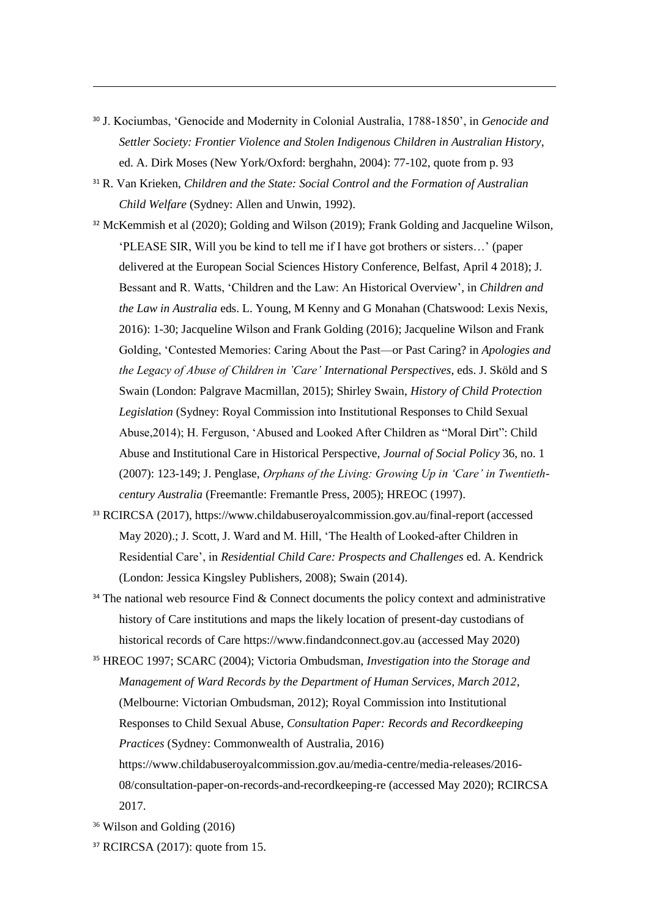- <sup>30</sup> J. Kociumbas, 'Genocide and Modernity in Colonial Australia, 1788-1850', in *Genocide and Settler Society: Frontier Violence and Stolen Indigenous Children in Australian History*, ed. A. Dirk Moses (New York/Oxford: berghahn, 2004): 77-102, quote from p. 93
- <sup>31</sup> R. Van Krieken, *Children and the State: Social Control and the Formation of Australian Child Welfare* (Sydney: Allen and Unwin, 1992).
- <sup>32</sup> McKemmish et al (2020); Golding and Wilson (2019); Frank Golding and Jacqueline Wilson, 'PLEASE SIR, Will you be kind to tell me if I have got brothers or sisters…' (paper delivered at the European Social Sciences History Conference, Belfast, April 4 2018); J. Bessant and R. Watts, 'Children and the Law: An Historical Overview', in *Children and the Law in Australia* eds. L. Young, M Kenny and G Monahan (Chatswood: Lexis Nexis, 2016): 1-30; Jacqueline Wilson and Frank Golding (2016); Jacqueline Wilson and Frank Golding, 'Contested Memories: Caring About the Past—or Past Caring? in *Apologies and the Legacy of Abuse of Children in 'Care' International Perspectives*, eds. J. Sköld and S Swain (London: Palgrave Macmillan, 2015); Shirley Swain, *History of Child Protection Legislation* (Sydney: Royal Commission into Institutional Responses to Child Sexual Abuse,2014); H. Ferguson, 'Abused and Looked After Children as "Moral Dirt": Child Abuse and Institutional Care in Historical Perspective, *Journal of Social Policy* 36, no. 1 (2007): 123-149; J. Penglase, *Orphans of the Living: Growing Up in 'Care' in Twentiethcentury Australia* (Freemantle: Fremantle Press, 2005); HREOC (1997).
- <sup>33</sup> RCIRCSA (2017), https://www.childabuseroyalcommission.gov.au/final-report (accessed May 2020).; J. Scott, J. Ward and M. Hill, 'The Health of Looked-after Children in Residential Care', in *Residential Child Care: Prospects and Challenges* ed. A. Kendrick (London: Jessica Kingsley Publishers, 2008); Swain (2014).
- <sup>34</sup> The national web resource Find & Connect documents the policy context and administrative history of Care institutions and maps the likely location of present-day custodians of historical records of Care https:/[/www.findandconnect.gov.au](http://www.findandconnect.gov.au/) (accessed May 2020)
- <sup>35</sup> HREOC 1997; SCARC (2004); Victoria Ombudsman, *Investigation into the Storage and Management of Ward Records by the Department of Human Services, March 2012*, (Melbourne: Victorian Ombudsman, 2012); Royal Commission into Institutional Responses to Child Sexual Abuse, *Consultation Paper: Records and Recordkeeping Practices* (Sydney: Commonwealth of Australia, 2016)
	- [https://www.childabuseroyalcommission.gov.au/media-centre/media-releases/2016-](https://www.childabuseroyalcommission.gov.au/media-centre/media-releases/2016-08/consultation-paper-on-records-and-recordkeeping-re) [08/consultation-paper-on-records-and-recordkeeping-re](https://www.childabuseroyalcommission.gov.au/media-centre/media-releases/2016-08/consultation-paper-on-records-and-recordkeeping-re) (accessed May 2020); RCIRCSA 2017.

<sup>36</sup> Wilson and Golding (2016)

<sup>37</sup> RCIRCSA (2017): quote from 15.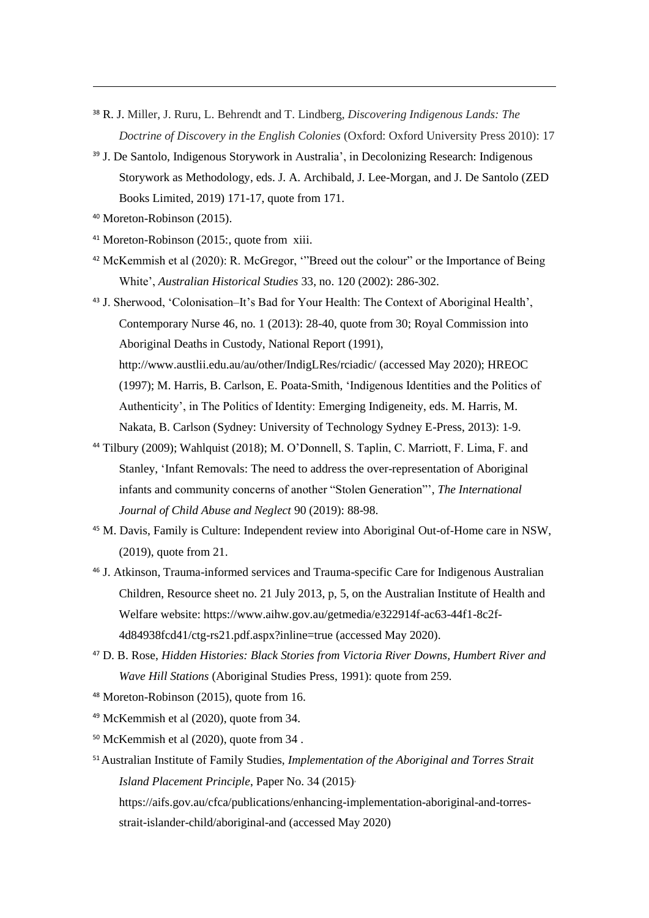- <sup>38</sup> R. J. Miller, J. Ruru, L. Behrendt and T. Lindberg, *Discovering Indigenous Lands: The Doctrine of Discovery in the English Colonies* (Oxford: Oxford University Press 2010): 17
- <sup>39</sup> J. De Santolo, Indigenous Storywork in Australia', in Decolonizing Research: Indigenous Storywork as Methodology, eds. J. A. Archibald, J. Lee-Morgan, and J. De Santolo (ZED Books Limited, 2019) 171-17, quote from 171.
- <sup>40</sup> Moreton-Robinson (2015).

- <sup>41</sup> Moreton-Robinson (2015:, quote from xiii.
- <sup>42</sup> McKemmish et al (2020): R. McGregor, '"Breed out the colour" or the Importance of Being White', *Australian Historical Studies* 33, no. 120 (2002): 286-302.
- <sup>43</sup> J. Sherwood, 'Colonisation–It's Bad for Your Health: The Context of Aboriginal Health', Contemporary Nurse 46, no. 1 (2013): 28-40, quote from 30; Royal Commission into Aboriginal Deaths in Custody, National Report (1991), <http://www.austlii.edu.au/au/other/IndigLRes/rciadic/> (accessed May 2020); HREOC (1997); M. Harris, B. Carlson, E. Poata-Smith, 'Indigenous Identities and the Politics of Authenticity', in The Politics of Identity: Emerging Indigeneity, eds. M. Harris, M. Nakata, B. Carlson (Sydney: University of Technology Sydney E-Press, 2013): 1-9.
- <sup>44</sup> Tilbury (2009); Wahlquist (2018); M. O'Donnell, S. Taplin, C. Marriott, F. Lima, F. and Stanley, 'Infant Removals: The need to address the over-representation of Aboriginal infants and community concerns of another "Stolen Generation"', *The International Journal of Child Abuse and Neglect* 90 (2019): 88-98.
- <sup>45</sup> M. Davis, Family is Culture: Independent review into Aboriginal Out-of-Home care in NSW, (2019), quote from 21.
- <sup>46</sup> J. Atkinson, Trauma-informed services and Trauma-specific Care for Indigenous Australian Children, Resource sheet no. 21 July 2013, p, 5, on the Australian Institute of Health and Welfare website[: https://www.aihw.gov.au/getmedia/e322914f-ac63-44f1-8c2f-](https://www.aihw.gov.au/getmedia/e322914f-ac63-44f1-8c2f-4d84938fcd41/ctg-rs21.pdf.aspx?inline=true)[4d84938fcd41/ctg-rs21.pdf.aspx?inline=true](https://www.aihw.gov.au/getmedia/e322914f-ac63-44f1-8c2f-4d84938fcd41/ctg-rs21.pdf.aspx?inline=true) (accessed May 2020).
- <sup>47</sup> D. B. Rose, *Hidden Histories: Black Stories from Victoria River Downs, Humbert River and Wave Hill Stations* (Aboriginal Studies Press, 1991): quote from 259.
- <sup>48</sup> Moreton-Robinson (2015), quote from 16.
- <sup>49</sup> McKemmish et al (2020), quote from 34.
- <sup>50</sup> McKemmish et al (2020), quote from 34 .
- <sup>51</sup>Australian Institute of Family Studies, *Implementation of the Aboriginal and Torres Strait Island Placement Principle*, Paper No. 34 (2015), [https://aifs.gov.au/cfca/publications/enhancing-implementation-aboriginal-and-torres](https://aifs.gov.au/cfca/publications/enhancing-implementation-aboriginal-and-torres-strait-islander-child/aboriginal-and)
	- [strait-islander-child/aboriginal-and](https://aifs.gov.au/cfca/publications/enhancing-implementation-aboriginal-and-torres-strait-islander-child/aboriginal-and) (accessed May 2020)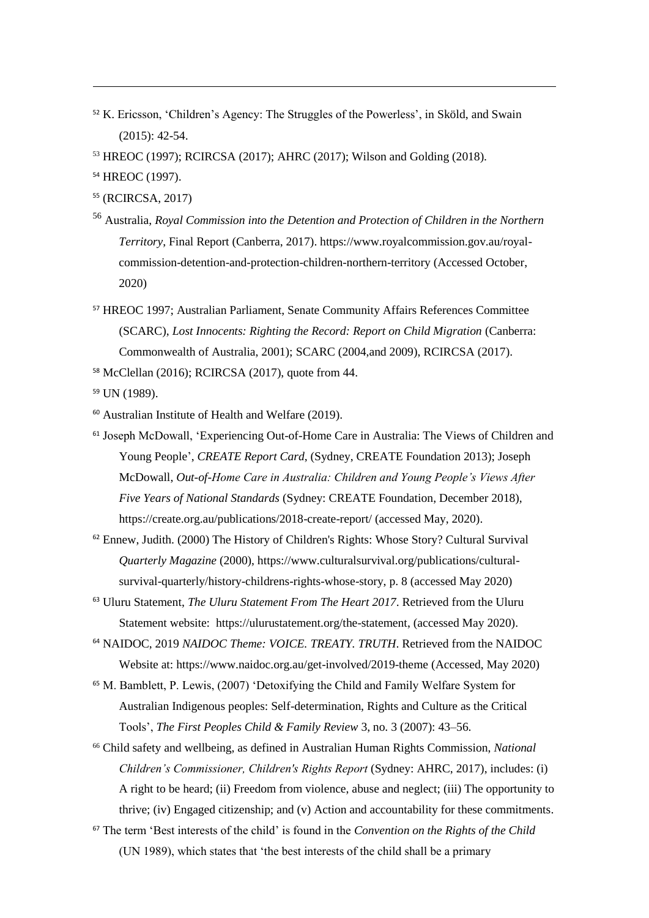- <sup>52</sup> K. Ericsson, 'Children's Agency: The Struggles of the Powerless', in Sköld, and Swain (2015): 42-54.
- <sup>53</sup> HREOC (1997); RCIRCSA (2017); AHRC (2017); Wilson and Golding (2018).
- <sup>54</sup> HREOC (1997).

-

- <sup>55</sup> (RCIRCSA, 2017)
- <sup>56</sup> Australia, *Royal Commission into the Detention and Protection of Children in the Northern Territory*, Final Report (Canberra, 2017)[. https://www.royalcommission.gov.au/royal](https://www.royalcommission.gov.au/royal-commission-detention-and-protection-children-northern-territory)[commission-detention-and-protection-children-northern-territory](https://www.royalcommission.gov.au/royal-commission-detention-and-protection-children-northern-territory) (Accessed October, 2020)
- <sup>57</sup> HREOC 1997; Australian Parliament, Senate Community Affairs References Committee (SCARC), *Lost Innocents: Righting the Record: Report on Child Migration* (Canberra: Commonwealth of Australia, 2001); SCARC (2004,and 2009), RCIRCSA (2017).
- <sup>58</sup> McClellan (2016); RCIRCSA (2017), quote from 44.

<sup>59</sup> UN (1989).

- <sup>60</sup> Australian Institute of Health and Welfare (2019).
- <sup>61</sup> Joseph McDowall, 'Experiencing Out-of-Home Care in Australia: The Views of Children and Young People', *CREATE Report Card*, (Sydney, CREATE Foundation 2013); Joseph McDowall, *Out-of-Home Care in Australia: Children and Young People's Views After Five Years of National Standards* (Sydney: CREATE Foundation, December 2018), https://create.org.au/publications/2018-create-report/ (accessed May, 2020).
- <sup>62</sup> Ennew, Judith. (2000) The History of Children's Rights: Whose Story? Cultural Survival *Quarterly Magazine* (2000), [https://www.culturalsurvival.org/publications/cultural](https://www.culturalsurvival.org/publications/cultural-survival-quarterly/history-childrens-rights-whose-story)[survival-quarterly/history-childrens-rights-whose-story,](https://www.culturalsurvival.org/publications/cultural-survival-quarterly/history-childrens-rights-whose-story) p. 8 (accessed May 2020)
- <sup>63</sup> Uluru Statement, *The Uluru Statement From The Heart 2017*. Retrieved from the Uluru Statement website: [https://ulurustatement.org/the-statement,](https://ulurustatement.org/the-statement) (accessed May 2020).
- <sup>64</sup> NAIDOC, 2019 *NAIDOC Theme: VOICE. TREATY. TRUTH*. Retrieved from the NAIDOC Website at[: https://www.naidoc.org.au/get-involved/2019-theme](https://www.naidoc.org.au/get-involved/2019-theme) (Accessed, May 2020)
- <sup>65</sup> M. Bamblett, P. Lewis, (2007) 'Detoxifying the Child and Family Welfare System for Australian Indigenous peoples: Self-determination, Rights and Culture as the Critical Tools', *The First Peoples Child & Family Review* 3, no. 3 (2007): 43–56.
- <sup>66</sup> Child safety and wellbeing, as defined in Australian Human Rights Commission, *National Children's Commissioner, Children's Rights Report* (Sydney: AHRC, 2017), includes: (i) A right to be heard; (ii) Freedom from violence, abuse and neglect; (iii) The opportunity to thrive; (iv) Engaged citizenship; and (v) Action and accountability for these commitments.
- <sup>67</sup> The term 'Best interests of the child' is found in the *Convention on the Rights of the Child* (UN 1989), which states that 'the best interests of the child shall be a primary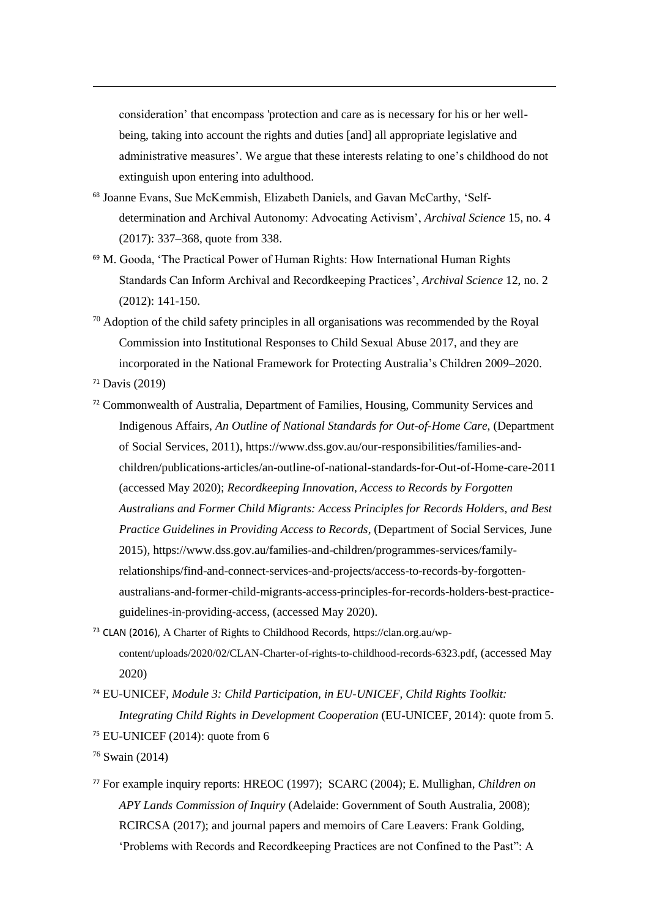consideration' that encompass 'protection and care as is necessary for his or her wellbeing, taking into account the rights and duties [and] all appropriate legislative and administrative measures'. We argue that these interests relating to one's childhood do not extinguish upon entering into adulthood.

- <sup>68</sup> Joanne Evans, Sue McKemmish, Elizabeth Daniels, and Gavan McCarthy, 'Selfdetermination and Archival Autonomy: Advocating Activism', *Archival Science* 15, no. 4 (2017): 337–368, quote from 338.
- <sup>69</sup> M. Gooda, 'The Practical Power of Human Rights: How International Human Rights Standards Can Inform Archival and Recordkeeping Practices', *Archival Science* 12, no. 2 (2012): 141-150.
- <sup>70</sup> Adoption of the child safety principles in all organisations was recommended by the Royal Commission into Institutional Responses to Child Sexual Abuse 2017, and they are incorporated in the National Framework for Protecting Australia's Children 2009–2020.
- <sup>71</sup> Davis (2019)

-

- <sup>72</sup> Commonwealth of Australia, Department of Families, Housing, Community Services and Indigenous Affairs, *An Outline of National Standards for Out-of-Home Care*, (Department of Social Services, 2011), [https://www.dss.gov.au/our-responsibilities/families-and](https://www.dss.gov.au/our-responsibilities/families-and-children/publications-articles/an-outline-of-national-standards-for-out-of-home-care-2011)[children/publications-articles/an-outline-of-national-standards-for-Out-of-Home-care-2011](https://www.dss.gov.au/our-responsibilities/families-and-children/publications-articles/an-outline-of-national-standards-for-out-of-home-care-2011) (accessed May 2020); *Recordkeeping Innovation, Access to Records by Forgotten Australians and Former Child Migrants: Access Principles for Records Holders, and Best Practice Guidelines in Providing Access to Records*, (Department of Social Services, June 2015), https://www.dss.gov.au/families-and-children/programmes-services/familyrelationships/find-and-connect-services-and-projects/access-to-records-by-forgottenaustralians-and-former-child-migrants-access-principles-for-records-holders-best-practiceguidelines-in-providing-access, (accessed May 2020).
- <sup>73</sup> CLAN (2016), A Charter of Rights to Childhood Records, https://clan.org.au/wpcontent/uploads/2020/02/CLAN-Charter-of-rights-to-childhood-records-6323.pdf, (accessed May 2020)
- <sup>74</sup> EU-UNICEF, *Module 3: Child Participation, in EU-UNICEF, Child Rights Toolkit: Integrating Child Rights in Development Cooperation* (EU-UNICEF, 2014): quote from 5. <sup>75</sup> EU-UNICEF (2014): quote from 6

<sup>77</sup> For example inquiry reports: HREOC (1997); SCARC (2004); E. Mullighan, *Children on APY Lands Commission of Inquiry* (Adelaide: Government of South Australia, 2008); RCIRCSA (2017); and journal papers and memoirs of Care Leavers: Frank Golding, 'Problems with Records and Recordkeeping Practices are not Confined to the Past": A

<sup>76</sup> Swain (2014)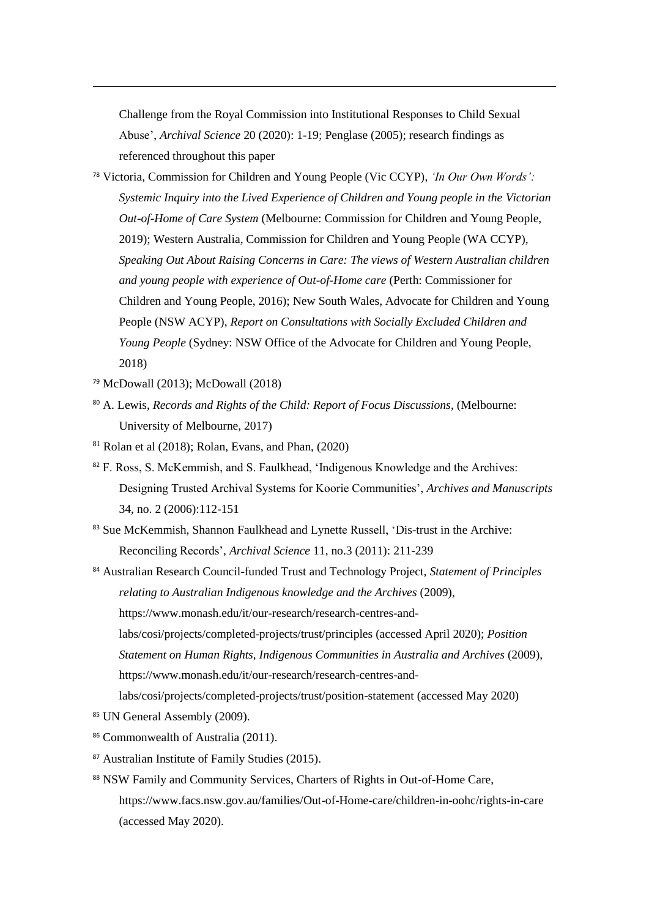Challenge from the Royal Commission into Institutional Responses to Child Sexual Abuse', *Archival Science* 20 (2020): 1-19; Penglase (2005); research findings as referenced throughout this paper

- <sup>78</sup> Victoria, Commission for Children and Young People (Vic CCYP), *'In Our Own Words': Systemic Inquiry into the Lived Experience of Children and Young people in the Victorian Out-of-Home of Care System* (Melbourne: Commission for Children and Young People, 2019); Western Australia, Commission for Children and Young People (WA CCYP), *Speaking Out About Raising Concerns in Care: The views of Western Australian children and young people with experience of Out-of-Home care* (Perth: Commissioner for Children and Young People, 2016); New South Wales, Advocate for Children and Young People (NSW ACYP), *Report on Consultations with Socially Excluded Children and Young People* (Sydney: NSW Office of the Advocate for Children and Young People, 2018)
- <sup>79</sup> McDowall (2013); McDowall (2018)

-

- <sup>80</sup> A. Lewis, *Records and Rights of the Child: Report of Focus Discussions*, (Melbourne: University of Melbourne, 2017)
- $81$  Rolan et al (2018); Rolan, Evans, and Phan, (2020)
- <sup>82</sup> F. Ross, S. McKemmish, and S. Faulkhead, 'Indigenous Knowledge and the Archives: Designing Trusted Archival Systems for Koorie Communities', *Archives and Manuscripts* 34, no. 2 (2006):112-151
- 83 Sue McKemmish, Shannon Faulkhead and Lynette Russell, 'Dis-trust in the Archive: Reconciling Records', *Archival Science* 11, no.3 (2011): 211-239

<sup>84</sup> Australian Research Council-funded Trust and Technology Project, *Statement of Principles relating to Australian Indigenous knowledge and the Archives* (2009), [https://www.monash.edu/it/our-research/research-centres-and](https://www.monash.edu/it/our-research/research-centres-and-labs/cosi/projects/completed-projects/trust/principles)[labs/cosi/projects/completed-projects/trust/principles](https://www.monash.edu/it/our-research/research-centres-and-labs/cosi/projects/completed-projects/trust/principles) (accessed April 2020); *Position Statement on Human Rights, Indigenous Communities in Australia and Archives* (2009), [https://www.monash.edu/it/our-research/research-centres-and](https://www.monash.edu/it/our-research/research-centres-and-labs/cosi/projects/completed-projects/trust/position-statement)[labs/cosi/projects/completed-projects/trust/position-statement](https://www.monash.edu/it/our-research/research-centres-and-labs/cosi/projects/completed-projects/trust/position-statement) (accessed May 2020)

- <sup>85</sup> UN General Assembly (2009).
- 86 Commonwealth of Australia (2011).
- <sup>87</sup> Australian Institute of Family Studies (2015).
- 88 NSW Family and Community Services, Charters of Rights in Out-of-Home Care, [https://www.facs.nsw.gov.au/families/Out-of-Home-care/children-in-oohc/rights-in-care](https://www.facs.nsw.gov.au/families/out-of-home-care/children-in-oohc/rights-in-care) (accessed May 2020).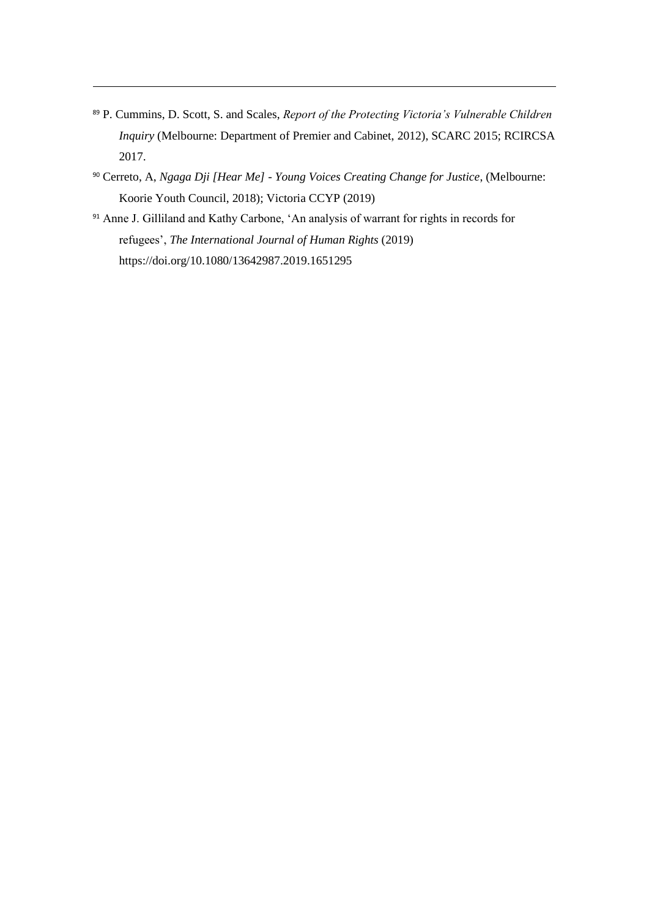<sup>89</sup> P. Cummins, D. Scott, S. and Scales, *Report of the Protecting Victoria's Vulnerable Children Inquiry* (Melbourne: Department of Premier and Cabinet, 2012), SCARC 2015; RCIRCSA 2017.

- <sup>90</sup> Cerreto, A, *Ngaga Dji [Hear Me] - Young Voices Creating Change for Justice*, (Melbourne: Koorie Youth Council, 2018); Victoria CCYP (2019)
- <sup>91</sup> Anne J. Gilliland and Kathy Carbone, 'An analysis of warrant for rights in records for refugees', *The International Journal of Human Rights* (2019) https://doi.org/10.1080/13642987.2019.1651295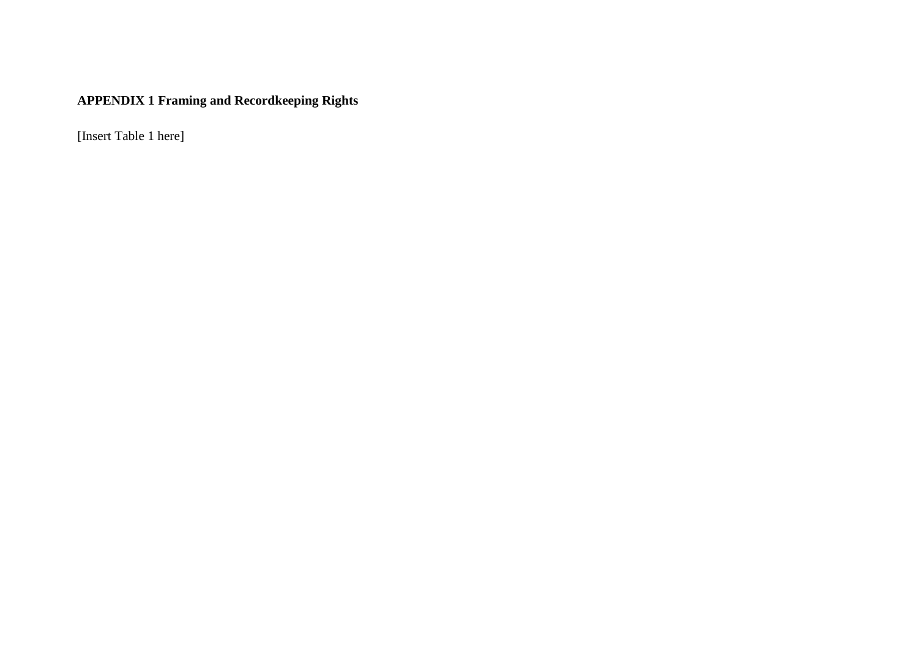# **APPENDIX 1 Framing and Recordkeeping Rights**

[Insert Table 1 here]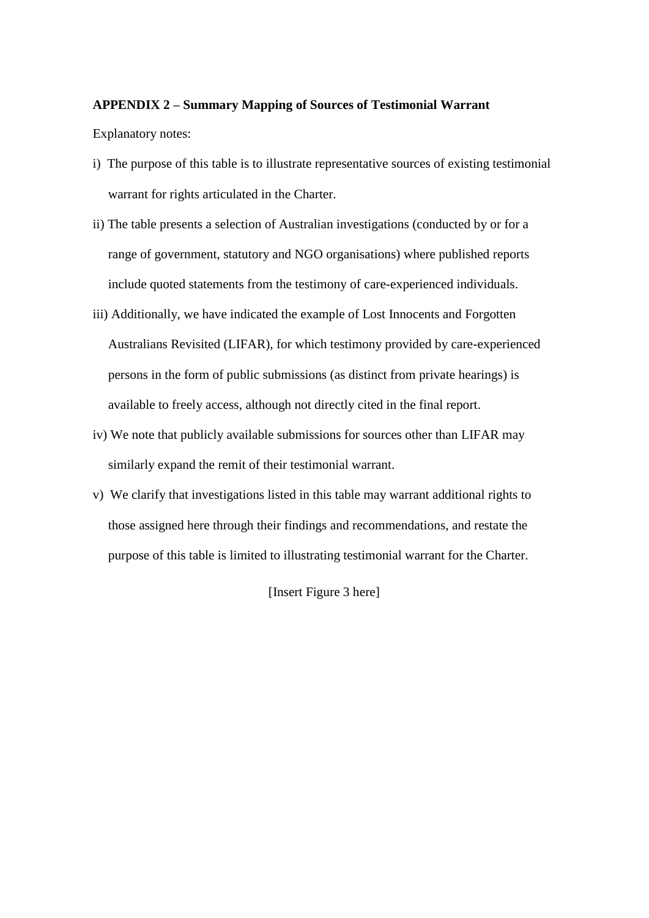# **APPENDIX 2 – Summary Mapping of Sources of Testimonial Warrant**

Explanatory notes:

- i) The purpose of this table is to illustrate representative sources of existing testimonial warrant for rights articulated in the Charter.
- ii) The table presents a selection of Australian investigations (conducted by or for a range of government, statutory and NGO organisations) where published reports include quoted statements from the testimony of care-experienced individuals.
- iii) Additionally, we have indicated the example of Lost Innocents and Forgotten Australians Revisited (LIFAR), for which testimony provided by care-experienced persons in the form of public submissions (as distinct from private hearings) is available to freely access, although not directly cited in the final report.
- iv) We note that publicly available submissions for sources other than LIFAR may similarly expand the remit of their testimonial warrant.
- v) We clarify that investigations listed in this table may warrant additional rights to those assigned here through their findings and recommendations, and restate the purpose of this table is limited to illustrating testimonial warrant for the Charter.

[Insert Figure 3 here]